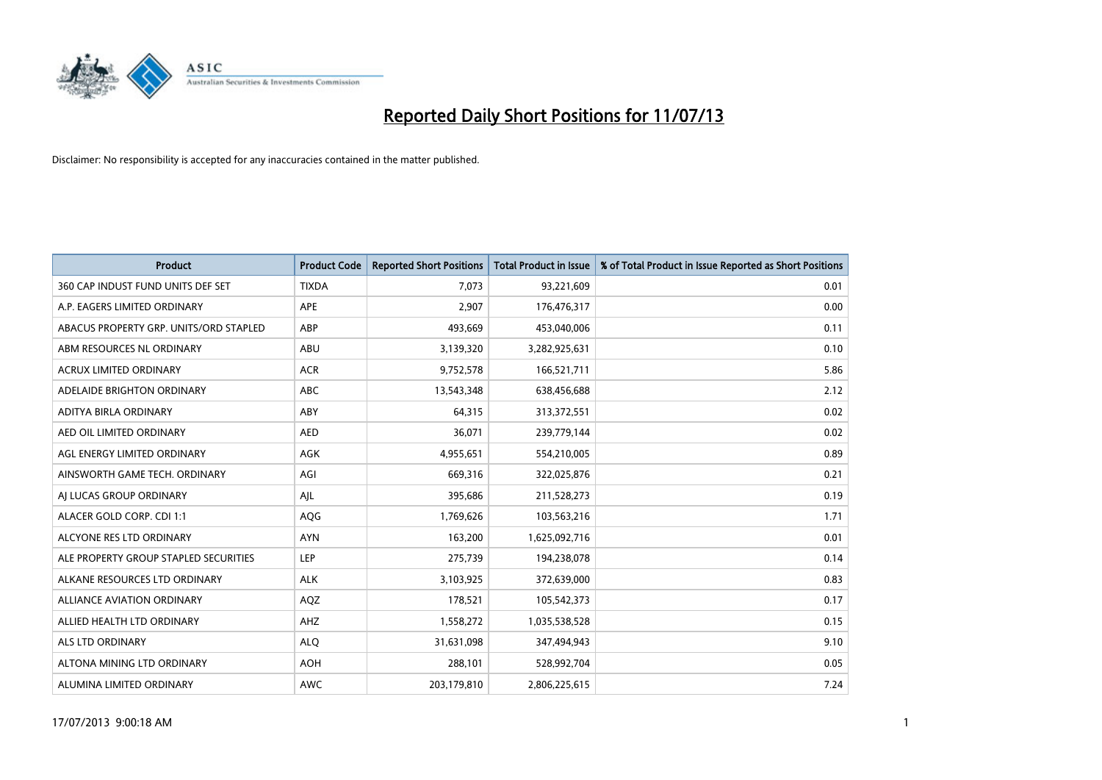

| <b>Product</b>                         | <b>Product Code</b> | <b>Reported Short Positions</b> | <b>Total Product in Issue</b> | % of Total Product in Issue Reported as Short Positions |
|----------------------------------------|---------------------|---------------------------------|-------------------------------|---------------------------------------------------------|
| 360 CAP INDUST FUND UNITS DEF SET      | <b>TIXDA</b>        | 7,073                           | 93,221,609                    | 0.01                                                    |
| A.P. EAGERS LIMITED ORDINARY           | APE                 | 2,907                           | 176,476,317                   | 0.00                                                    |
| ABACUS PROPERTY GRP. UNITS/ORD STAPLED | ABP                 | 493,669                         | 453,040,006                   | 0.11                                                    |
| ABM RESOURCES NL ORDINARY              | ABU                 | 3,139,320                       | 3,282,925,631                 | 0.10                                                    |
| <b>ACRUX LIMITED ORDINARY</b>          | <b>ACR</b>          | 9,752,578                       | 166,521,711                   | 5.86                                                    |
| ADELAIDE BRIGHTON ORDINARY             | <b>ABC</b>          | 13,543,348                      | 638,456,688                   | 2.12                                                    |
| ADITYA BIRLA ORDINARY                  | ABY                 | 64,315                          | 313,372,551                   | 0.02                                                    |
| AED OIL LIMITED ORDINARY               | <b>AED</b>          | 36,071                          | 239,779,144                   | 0.02                                                    |
| AGL ENERGY LIMITED ORDINARY            | <b>AGK</b>          | 4,955,651                       | 554,210,005                   | 0.89                                                    |
| AINSWORTH GAME TECH. ORDINARY          | AGI                 | 669,316                         | 322,025,876                   | 0.21                                                    |
| AI LUCAS GROUP ORDINARY                | AJL                 | 395,686                         | 211,528,273                   | 0.19                                                    |
| ALACER GOLD CORP. CDI 1:1              | AQG                 | 1,769,626                       | 103,563,216                   | 1.71                                                    |
| ALCYONE RES LTD ORDINARY               | <b>AYN</b>          | 163,200                         | 1,625,092,716                 | 0.01                                                    |
| ALE PROPERTY GROUP STAPLED SECURITIES  | LEP                 | 275,739                         | 194,238,078                   | 0.14                                                    |
| ALKANE RESOURCES LTD ORDINARY          | <b>ALK</b>          | 3,103,925                       | 372,639,000                   | 0.83                                                    |
| ALLIANCE AVIATION ORDINARY             | AQZ                 | 178,521                         | 105,542,373                   | 0.17                                                    |
| ALLIED HEALTH LTD ORDINARY             | AHZ                 | 1,558,272                       | 1,035,538,528                 | 0.15                                                    |
| <b>ALS LTD ORDINARY</b>                | <b>ALQ</b>          | 31,631,098                      | 347,494,943                   | 9.10                                                    |
| ALTONA MINING LTD ORDINARY             | <b>AOH</b>          | 288,101                         | 528,992,704                   | 0.05                                                    |
| ALUMINA LIMITED ORDINARY               | <b>AWC</b>          | 203,179,810                     | 2,806,225,615                 | 7.24                                                    |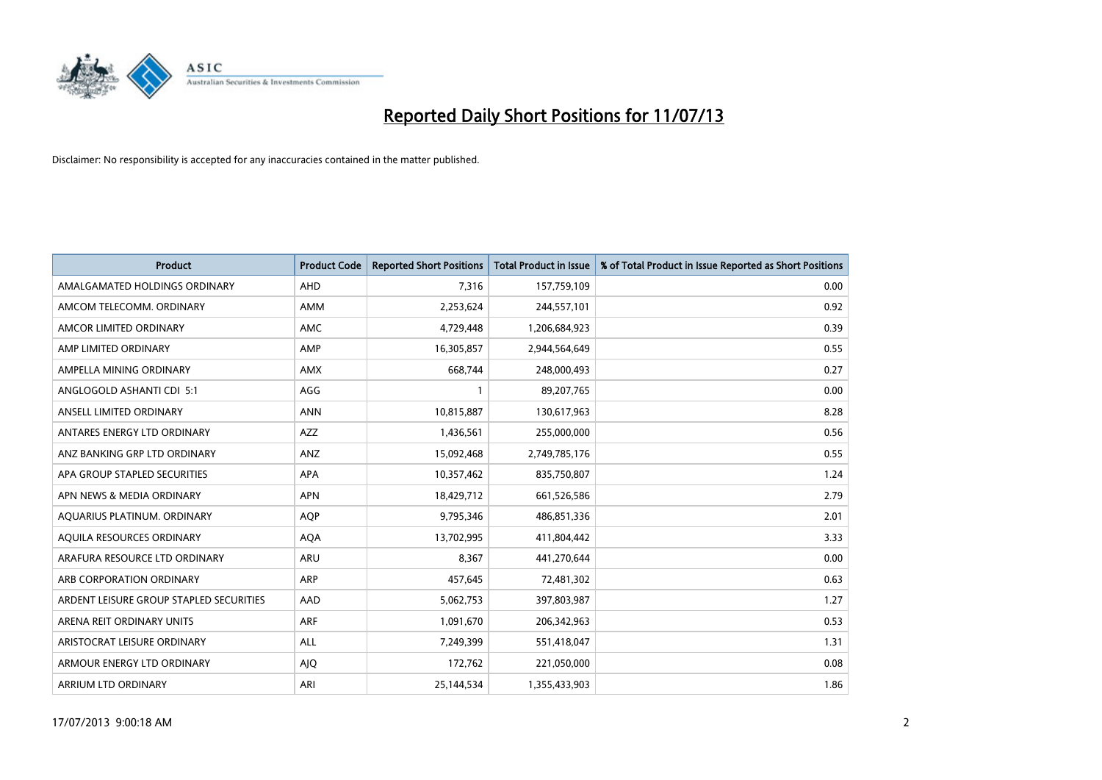

| <b>Product</b>                          | <b>Product Code</b> | <b>Reported Short Positions</b> | <b>Total Product in Issue</b> | % of Total Product in Issue Reported as Short Positions |
|-----------------------------------------|---------------------|---------------------------------|-------------------------------|---------------------------------------------------------|
| AMALGAMATED HOLDINGS ORDINARY           | <b>AHD</b>          | 7,316                           | 157,759,109                   | 0.00                                                    |
| AMCOM TELECOMM, ORDINARY                | AMM                 | 2,253,624                       | 244,557,101                   | 0.92                                                    |
| AMCOR LIMITED ORDINARY                  | <b>AMC</b>          | 4,729,448                       | 1,206,684,923                 | 0.39                                                    |
| AMP LIMITED ORDINARY                    | AMP                 | 16,305,857                      | 2,944,564,649                 | 0.55                                                    |
| AMPELLA MINING ORDINARY                 | AMX                 | 668,744                         | 248,000,493                   | 0.27                                                    |
| ANGLOGOLD ASHANTI CDI 5:1               | AGG                 | $\mathbf{1}$                    | 89,207,765                    | 0.00                                                    |
| ANSELL LIMITED ORDINARY                 | <b>ANN</b>          | 10,815,887                      | 130,617,963                   | 8.28                                                    |
| ANTARES ENERGY LTD ORDINARY             | <b>AZZ</b>          | 1,436,561                       | 255,000,000                   | 0.56                                                    |
| ANZ BANKING GRP LTD ORDINARY            | ANZ                 | 15,092,468                      | 2,749,785,176                 | 0.55                                                    |
| APA GROUP STAPLED SECURITIES            | <b>APA</b>          | 10,357,462                      | 835,750,807                   | 1.24                                                    |
| APN NEWS & MEDIA ORDINARY               | <b>APN</b>          | 18,429,712                      | 661,526,586                   | 2.79                                                    |
| AQUARIUS PLATINUM. ORDINARY             | <b>AOP</b>          | 9,795,346                       | 486,851,336                   | 2.01                                                    |
| AQUILA RESOURCES ORDINARY               | <b>AQA</b>          | 13,702,995                      | 411,804,442                   | 3.33                                                    |
| ARAFURA RESOURCE LTD ORDINARY           | ARU                 | 8,367                           | 441,270,644                   | 0.00                                                    |
| ARB CORPORATION ORDINARY                | ARP                 | 457,645                         | 72,481,302                    | 0.63                                                    |
| ARDENT LEISURE GROUP STAPLED SECURITIES | AAD                 | 5,062,753                       | 397,803,987                   | 1.27                                                    |
| ARENA REIT ORDINARY UNITS               | <b>ARF</b>          | 1,091,670                       | 206,342,963                   | 0.53                                                    |
| ARISTOCRAT LEISURE ORDINARY             | <b>ALL</b>          | 7,249,399                       | 551,418,047                   | 1.31                                                    |
| ARMOUR ENERGY LTD ORDINARY              | AJQ                 | 172,762                         | 221,050,000                   | 0.08                                                    |
| ARRIUM LTD ORDINARY                     | ARI                 | 25,144,534                      | 1,355,433,903                 | 1.86                                                    |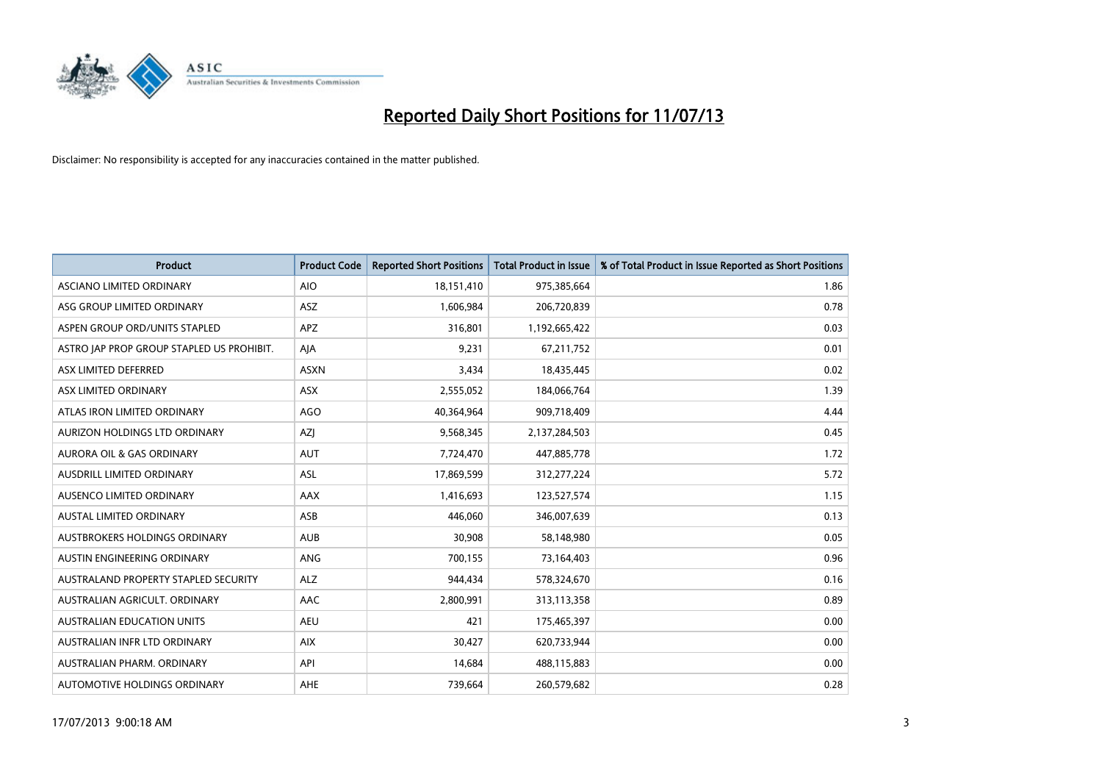

| <b>Product</b>                            | <b>Product Code</b> | <b>Reported Short Positions</b> | <b>Total Product in Issue</b> | % of Total Product in Issue Reported as Short Positions |
|-------------------------------------------|---------------------|---------------------------------|-------------------------------|---------------------------------------------------------|
| ASCIANO LIMITED ORDINARY                  | <b>AIO</b>          | 18,151,410                      | 975,385,664                   | 1.86                                                    |
| ASG GROUP LIMITED ORDINARY                | ASZ                 | 1,606,984                       | 206,720,839                   | 0.78                                                    |
| ASPEN GROUP ORD/UNITS STAPLED             | <b>APZ</b>          | 316,801                         | 1,192,665,422                 | 0.03                                                    |
| ASTRO JAP PROP GROUP STAPLED US PROHIBIT. | AJA                 | 9,231                           | 67,211,752                    | 0.01                                                    |
| ASX LIMITED DEFERRED                      | <b>ASXN</b>         | 3,434                           | 18,435,445                    | 0.02                                                    |
| ASX LIMITED ORDINARY                      | ASX                 | 2,555,052                       | 184,066,764                   | 1.39                                                    |
| ATLAS IRON LIMITED ORDINARY               | <b>AGO</b>          | 40,364,964                      | 909,718,409                   | 4.44                                                    |
| AURIZON HOLDINGS LTD ORDINARY             | AZJ                 | 9,568,345                       | 2,137,284,503                 | 0.45                                                    |
| <b>AURORA OIL &amp; GAS ORDINARY</b>      | <b>AUT</b>          | 7,724,470                       | 447,885,778                   | 1.72                                                    |
| AUSDRILL LIMITED ORDINARY                 | <b>ASL</b>          | 17,869,599                      | 312,277,224                   | 5.72                                                    |
| AUSENCO LIMITED ORDINARY                  | AAX                 | 1,416,693                       | 123,527,574                   | 1.15                                                    |
| AUSTAL LIMITED ORDINARY                   | ASB                 | 446,060                         | 346,007,639                   | 0.13                                                    |
| AUSTBROKERS HOLDINGS ORDINARY             | <b>AUB</b>          | 30,908                          | 58,148,980                    | 0.05                                                    |
| AUSTIN ENGINEERING ORDINARY               | ANG                 | 700,155                         | 73,164,403                    | 0.96                                                    |
| AUSTRALAND PROPERTY STAPLED SECURITY      | <b>ALZ</b>          | 944,434                         | 578,324,670                   | 0.16                                                    |
| AUSTRALIAN AGRICULT, ORDINARY             | AAC                 | 2,800,991                       | 313,113,358                   | 0.89                                                    |
| AUSTRALIAN EDUCATION UNITS                | <b>AEU</b>          | 421                             | 175,465,397                   | 0.00                                                    |
| AUSTRALIAN INFR LTD ORDINARY              | <b>AIX</b>          | 30,427                          | 620,733,944                   | 0.00                                                    |
| AUSTRALIAN PHARM, ORDINARY                | API                 | 14,684                          | 488,115,883                   | 0.00                                                    |
| AUTOMOTIVE HOLDINGS ORDINARY              | <b>AHE</b>          | 739,664                         | 260,579,682                   | 0.28                                                    |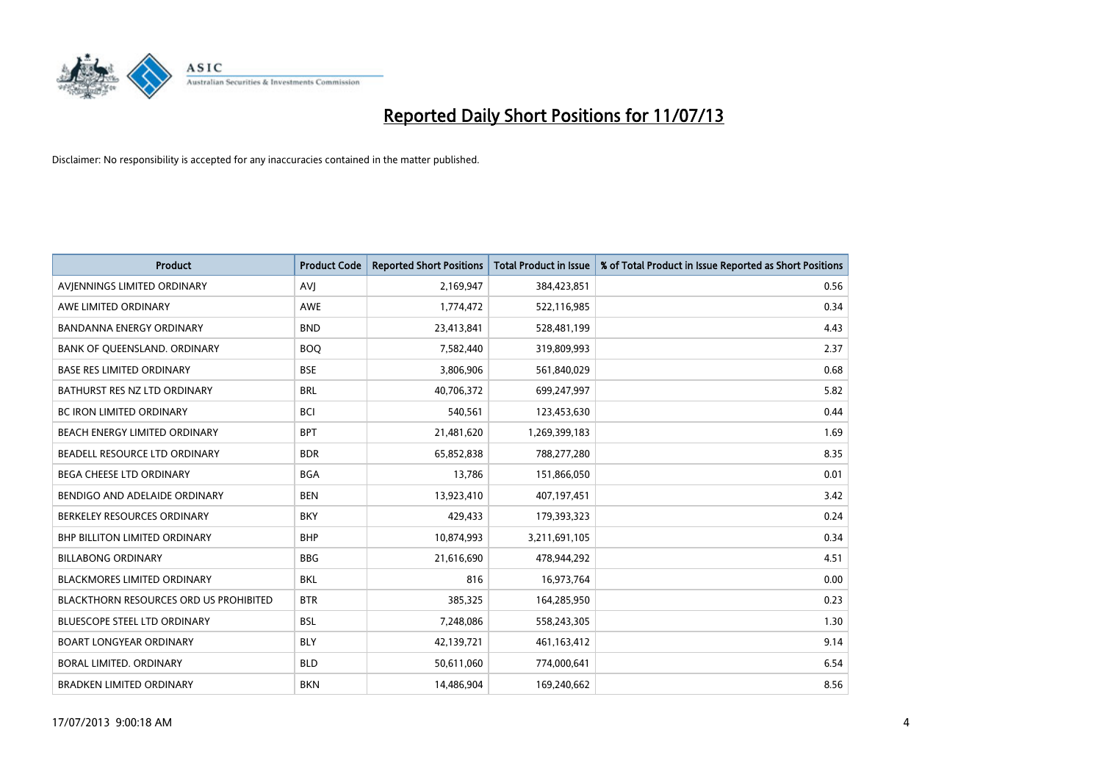

| <b>Product</b>                         | <b>Product Code</b> | <b>Reported Short Positions</b> | <b>Total Product in Issue</b> | % of Total Product in Issue Reported as Short Positions |
|----------------------------------------|---------------------|---------------------------------|-------------------------------|---------------------------------------------------------|
| AVIENNINGS LIMITED ORDINARY            | <b>AVJ</b>          | 2,169,947                       | 384,423,851                   | 0.56                                                    |
| AWE LIMITED ORDINARY                   | AWE                 | 1,774,472                       | 522,116,985                   | 0.34                                                    |
| <b>BANDANNA ENERGY ORDINARY</b>        | <b>BND</b>          | 23,413,841                      | 528,481,199                   | 4.43                                                    |
| BANK OF QUEENSLAND. ORDINARY           | <b>BOQ</b>          | 7,582,440                       | 319,809,993                   | 2.37                                                    |
| <b>BASE RES LIMITED ORDINARY</b>       | <b>BSE</b>          | 3,806,906                       | 561,840,029                   | 0.68                                                    |
| BATHURST RES NZ LTD ORDINARY           | <b>BRL</b>          | 40,706,372                      | 699,247,997                   | 5.82                                                    |
| <b>BC IRON LIMITED ORDINARY</b>        | <b>BCI</b>          | 540,561                         | 123,453,630                   | 0.44                                                    |
| BEACH ENERGY LIMITED ORDINARY          | <b>BPT</b>          | 21,481,620                      | 1,269,399,183                 | 1.69                                                    |
| BEADELL RESOURCE LTD ORDINARY          | <b>BDR</b>          | 65,852,838                      | 788,277,280                   | 8.35                                                    |
| <b>BEGA CHEESE LTD ORDINARY</b>        | <b>BGA</b>          | 13,786                          | 151,866,050                   | 0.01                                                    |
| BENDIGO AND ADELAIDE ORDINARY          | <b>BEN</b>          | 13,923,410                      | 407,197,451                   | 3.42                                                    |
| BERKELEY RESOURCES ORDINARY            | <b>BKY</b>          | 429,433                         | 179,393,323                   | 0.24                                                    |
| <b>BHP BILLITON LIMITED ORDINARY</b>   | <b>BHP</b>          | 10,874,993                      | 3,211,691,105                 | 0.34                                                    |
| <b>BILLABONG ORDINARY</b>              | <b>BBG</b>          | 21,616,690                      | 478,944,292                   | 4.51                                                    |
| <b>BLACKMORES LIMITED ORDINARY</b>     | <b>BKL</b>          | 816                             | 16,973,764                    | 0.00                                                    |
| BLACKTHORN RESOURCES ORD US PROHIBITED | <b>BTR</b>          | 385,325                         | 164,285,950                   | 0.23                                                    |
| BLUESCOPE STEEL LTD ORDINARY           | <b>BSL</b>          | 7,248,086                       | 558,243,305                   | 1.30                                                    |
| <b>BOART LONGYEAR ORDINARY</b>         | <b>BLY</b>          | 42,139,721                      | 461,163,412                   | 9.14                                                    |
| <b>BORAL LIMITED, ORDINARY</b>         | <b>BLD</b>          | 50,611,060                      | 774,000,641                   | 6.54                                                    |
| <b>BRADKEN LIMITED ORDINARY</b>        | <b>BKN</b>          | 14,486,904                      | 169,240,662                   | 8.56                                                    |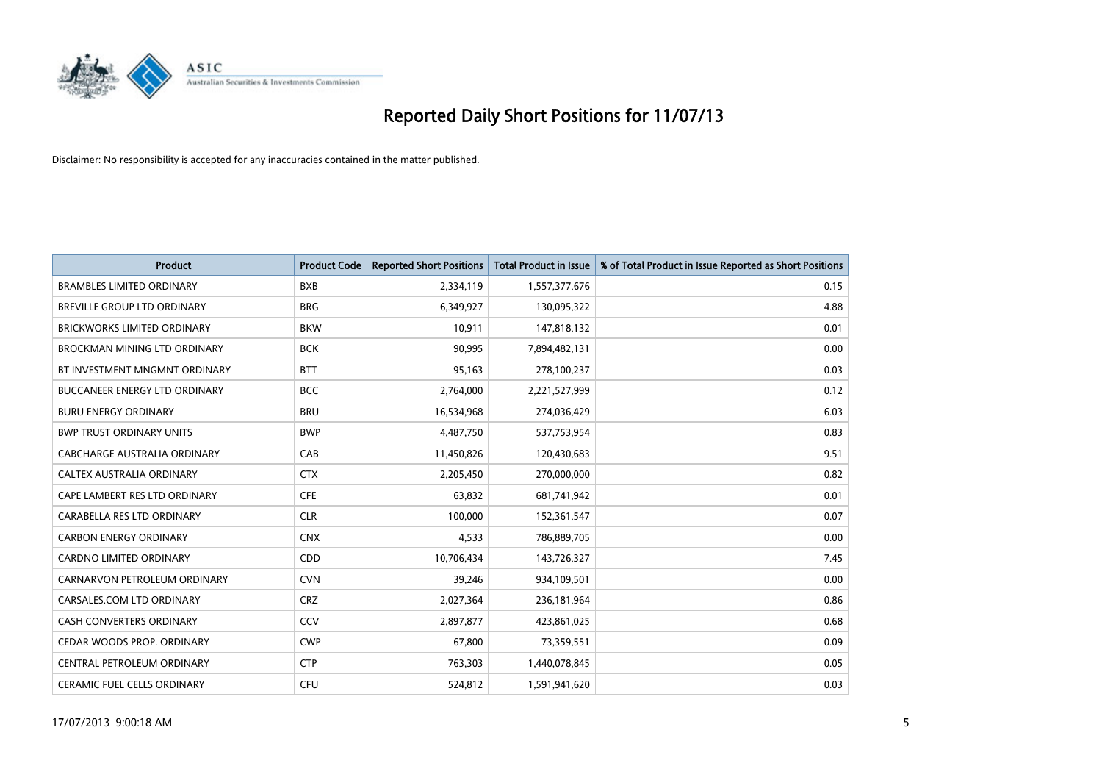

| <b>Product</b>                       | <b>Product Code</b> | <b>Reported Short Positions</b> | Total Product in Issue | % of Total Product in Issue Reported as Short Positions |
|--------------------------------------|---------------------|---------------------------------|------------------------|---------------------------------------------------------|
| <b>BRAMBLES LIMITED ORDINARY</b>     | <b>BXB</b>          | 2,334,119                       | 1,557,377,676          | 0.15                                                    |
| BREVILLE GROUP LTD ORDINARY          | <b>BRG</b>          | 6,349,927                       | 130,095,322            | 4.88                                                    |
| <b>BRICKWORKS LIMITED ORDINARY</b>   | <b>BKW</b>          | 10,911                          | 147,818,132            | 0.01                                                    |
| BROCKMAN MINING LTD ORDINARY         | <b>BCK</b>          | 90,995                          | 7,894,482,131          | 0.00                                                    |
| BT INVESTMENT MNGMNT ORDINARY        | <b>BTT</b>          | 95,163                          | 278,100,237            | 0.03                                                    |
| <b>BUCCANEER ENERGY LTD ORDINARY</b> | <b>BCC</b>          | 2,764,000                       | 2,221,527,999          | 0.12                                                    |
| <b>BURU ENERGY ORDINARY</b>          | <b>BRU</b>          | 16,534,968                      | 274,036,429            | 6.03                                                    |
| <b>BWP TRUST ORDINARY UNITS</b>      | <b>BWP</b>          | 4,487,750                       | 537,753,954            | 0.83                                                    |
| CABCHARGE AUSTRALIA ORDINARY         | CAB                 | 11,450,826                      | 120,430,683            | 9.51                                                    |
| CALTEX AUSTRALIA ORDINARY            | <b>CTX</b>          | 2,205,450                       | 270,000,000            | 0.82                                                    |
| CAPE LAMBERT RES LTD ORDINARY        | <b>CFE</b>          | 63,832                          | 681,741,942            | 0.01                                                    |
| CARABELLA RES LTD ORDINARY           | <b>CLR</b>          | 100,000                         | 152,361,547            | 0.07                                                    |
| <b>CARBON ENERGY ORDINARY</b>        | <b>CNX</b>          | 4,533                           | 786,889,705            | 0.00                                                    |
| <b>CARDNO LIMITED ORDINARY</b>       | CDD                 | 10,706,434                      | 143,726,327            | 7.45                                                    |
| CARNARVON PETROLEUM ORDINARY         | <b>CVN</b>          | 39,246                          | 934,109,501            | 0.00                                                    |
| CARSALES.COM LTD ORDINARY            | <b>CRZ</b>          | 2,027,364                       | 236,181,964            | 0.86                                                    |
| <b>CASH CONVERTERS ORDINARY</b>      | CCV                 | 2,897,877                       | 423,861,025            | 0.68                                                    |
| CEDAR WOODS PROP. ORDINARY           | <b>CWP</b>          | 67,800                          | 73,359,551             | 0.09                                                    |
| CENTRAL PETROLEUM ORDINARY           | <b>CTP</b>          | 763,303                         | 1,440,078,845          | 0.05                                                    |
| <b>CERAMIC FUEL CELLS ORDINARY</b>   | <b>CFU</b>          | 524,812                         | 1,591,941,620          | 0.03                                                    |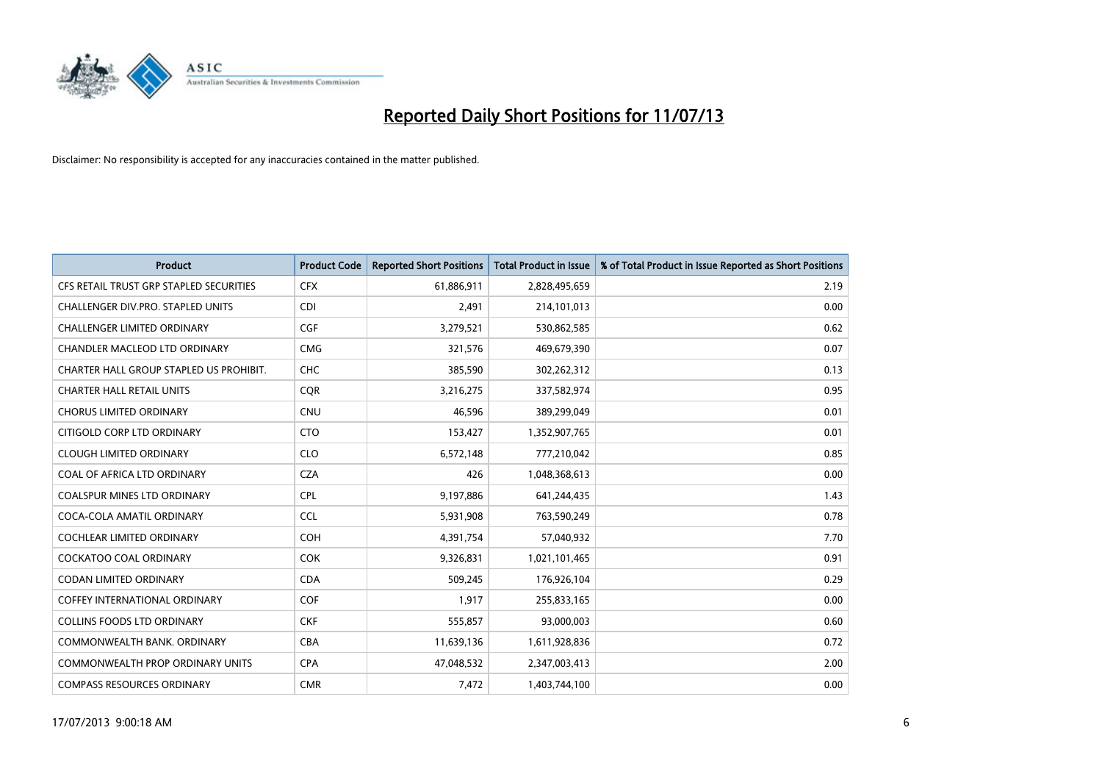

| <b>Product</b>                          | <b>Product Code</b> | <b>Reported Short Positions</b> | <b>Total Product in Issue</b> | % of Total Product in Issue Reported as Short Positions |
|-----------------------------------------|---------------------|---------------------------------|-------------------------------|---------------------------------------------------------|
| CFS RETAIL TRUST GRP STAPLED SECURITIES | <b>CFX</b>          | 61,886,911                      | 2,828,495,659                 | 2.19                                                    |
| CHALLENGER DIV.PRO. STAPLED UNITS       | <b>CDI</b>          | 2,491                           | 214,101,013                   | 0.00                                                    |
| CHALLENGER LIMITED ORDINARY             | <b>CGF</b>          | 3,279,521                       | 530,862,585                   | 0.62                                                    |
| CHANDLER MACLEOD LTD ORDINARY           | <b>CMG</b>          | 321,576                         | 469,679,390                   | 0.07                                                    |
| CHARTER HALL GROUP STAPLED US PROHIBIT. | <b>CHC</b>          | 385,590                         | 302,262,312                   | 0.13                                                    |
| <b>CHARTER HALL RETAIL UNITS</b>        | CQR                 | 3,216,275                       | 337,582,974                   | 0.95                                                    |
| <b>CHORUS LIMITED ORDINARY</b>          | <b>CNU</b>          | 46,596                          | 389,299,049                   | 0.01                                                    |
| CITIGOLD CORP LTD ORDINARY              | <b>CTO</b>          | 153,427                         | 1,352,907,765                 | 0.01                                                    |
| <b>CLOUGH LIMITED ORDINARY</b>          | <b>CLO</b>          | 6,572,148                       | 777,210,042                   | 0.85                                                    |
| COAL OF AFRICA LTD ORDINARY             | <b>CZA</b>          | 426                             | 1,048,368,613                 | 0.00                                                    |
| COALSPUR MINES LTD ORDINARY             | <b>CPL</b>          | 9,197,886                       | 641,244,435                   | 1.43                                                    |
| COCA-COLA AMATIL ORDINARY               | <b>CCL</b>          | 5,931,908                       | 763,590,249                   | 0.78                                                    |
| <b>COCHLEAR LIMITED ORDINARY</b>        | <b>COH</b>          | 4,391,754                       | 57,040,932                    | 7.70                                                    |
| <b>COCKATOO COAL ORDINARY</b>           | <b>COK</b>          | 9,326,831                       | 1,021,101,465                 | 0.91                                                    |
| <b>CODAN LIMITED ORDINARY</b>           | <b>CDA</b>          | 509,245                         | 176,926,104                   | 0.29                                                    |
| <b>COFFEY INTERNATIONAL ORDINARY</b>    | <b>COF</b>          | 1,917                           | 255,833,165                   | 0.00                                                    |
| <b>COLLINS FOODS LTD ORDINARY</b>       | <b>CKF</b>          | 555,857                         | 93,000,003                    | 0.60                                                    |
| COMMONWEALTH BANK, ORDINARY             | <b>CBA</b>          | 11,639,136                      | 1,611,928,836                 | 0.72                                                    |
| COMMONWEALTH PROP ORDINARY UNITS        | <b>CPA</b>          | 47,048,532                      | 2,347,003,413                 | 2.00                                                    |
| <b>COMPASS RESOURCES ORDINARY</b>       | <b>CMR</b>          | 7,472                           | 1,403,744,100                 | 0.00                                                    |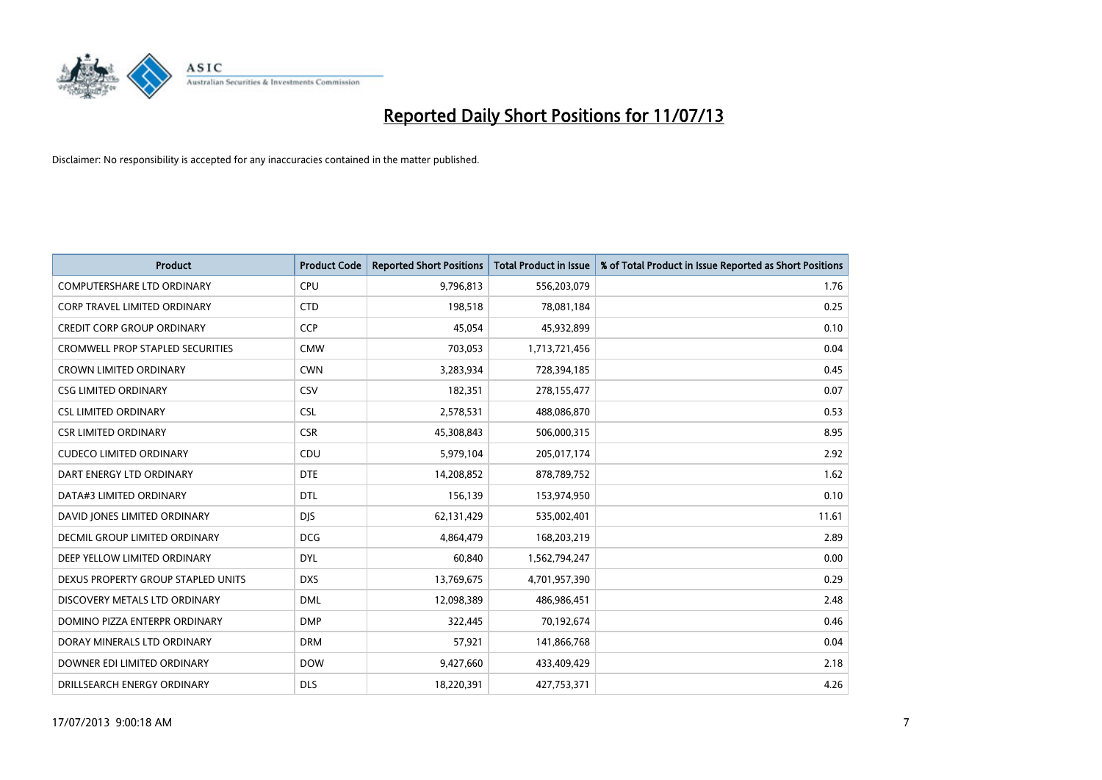

| <b>Product</b>                          | <b>Product Code</b> | <b>Reported Short Positions</b> | <b>Total Product in Issue</b> | % of Total Product in Issue Reported as Short Positions |
|-----------------------------------------|---------------------|---------------------------------|-------------------------------|---------------------------------------------------------|
| <b>COMPUTERSHARE LTD ORDINARY</b>       | <b>CPU</b>          | 9,796,813                       | 556,203,079                   | 1.76                                                    |
| CORP TRAVEL LIMITED ORDINARY            | <b>CTD</b>          | 198,518                         | 78,081,184                    | 0.25                                                    |
| <b>CREDIT CORP GROUP ORDINARY</b>       | <b>CCP</b>          | 45,054                          | 45,932,899                    | 0.10                                                    |
| <b>CROMWELL PROP STAPLED SECURITIES</b> | <b>CMW</b>          | 703,053                         | 1,713,721,456                 | 0.04                                                    |
| <b>CROWN LIMITED ORDINARY</b>           | <b>CWN</b>          | 3,283,934                       | 728,394,185                   | 0.45                                                    |
| <b>CSG LIMITED ORDINARY</b>             | CSV                 | 182,351                         | 278,155,477                   | 0.07                                                    |
| <b>CSL LIMITED ORDINARY</b>             | <b>CSL</b>          | 2,578,531                       | 488,086,870                   | 0.53                                                    |
| <b>CSR LIMITED ORDINARY</b>             | <b>CSR</b>          | 45,308,843                      | 506,000,315                   | 8.95                                                    |
| <b>CUDECO LIMITED ORDINARY</b>          | CDU                 | 5,979,104                       | 205,017,174                   | 2.92                                                    |
| DART ENERGY LTD ORDINARY                | <b>DTE</b>          | 14,208,852                      | 878,789,752                   | 1.62                                                    |
| DATA#3 LIMITED ORDINARY                 | DTL                 | 156,139                         | 153,974,950                   | 0.10                                                    |
| DAVID JONES LIMITED ORDINARY            | <b>DJS</b>          | 62,131,429                      | 535,002,401                   | 11.61                                                   |
| DECMIL GROUP LIMITED ORDINARY           | <b>DCG</b>          | 4,864,479                       | 168,203,219                   | 2.89                                                    |
| DEEP YELLOW LIMITED ORDINARY            | <b>DYL</b>          | 60,840                          | 1,562,794,247                 | 0.00                                                    |
| DEXUS PROPERTY GROUP STAPLED UNITS      | <b>DXS</b>          | 13,769,675                      | 4,701,957,390                 | 0.29                                                    |
| DISCOVERY METALS LTD ORDINARY           | <b>DML</b>          | 12,098,389                      | 486,986,451                   | 2.48                                                    |
| DOMINO PIZZA ENTERPR ORDINARY           | <b>DMP</b>          | 322,445                         | 70,192,674                    | 0.46                                                    |
| DORAY MINERALS LTD ORDINARY             | <b>DRM</b>          | 57,921                          | 141,866,768                   | 0.04                                                    |
| DOWNER EDI LIMITED ORDINARY             | <b>DOW</b>          | 9,427,660                       | 433,409,429                   | 2.18                                                    |
| DRILLSEARCH ENERGY ORDINARY             | <b>DLS</b>          | 18,220,391                      | 427,753,371                   | 4.26                                                    |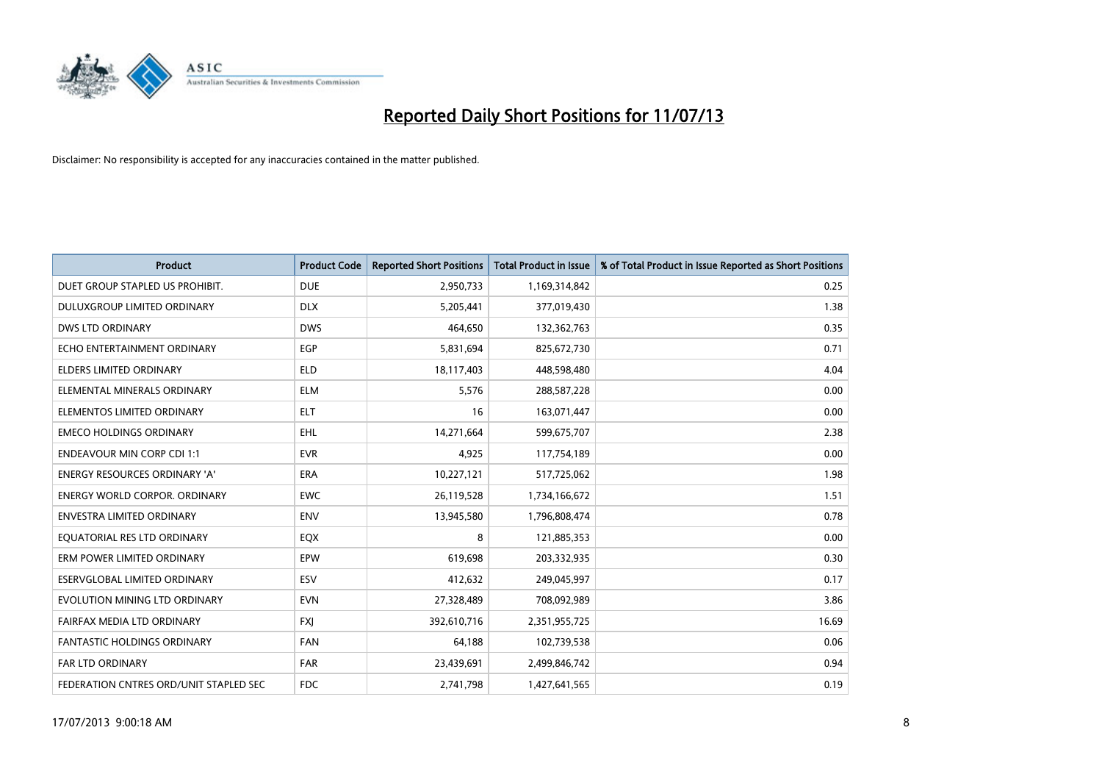

| <b>Product</b>                         | <b>Product Code</b> | <b>Reported Short Positions</b> | <b>Total Product in Issue</b> | % of Total Product in Issue Reported as Short Positions |
|----------------------------------------|---------------------|---------------------------------|-------------------------------|---------------------------------------------------------|
| DUET GROUP STAPLED US PROHIBIT.        | <b>DUE</b>          | 2,950,733                       | 1,169,314,842                 | 0.25                                                    |
| <b>DULUXGROUP LIMITED ORDINARY</b>     | <b>DLX</b>          | 5,205,441                       | 377,019,430                   | 1.38                                                    |
| <b>DWS LTD ORDINARY</b>                | <b>DWS</b>          | 464,650                         | 132,362,763                   | 0.35                                                    |
| ECHO ENTERTAINMENT ORDINARY            | <b>EGP</b>          | 5,831,694                       | 825,672,730                   | 0.71                                                    |
| <b>ELDERS LIMITED ORDINARY</b>         | <b>ELD</b>          | 18,117,403                      | 448,598,480                   | 4.04                                                    |
| ELEMENTAL MINERALS ORDINARY            | <b>ELM</b>          | 5,576                           | 288,587,228                   | 0.00                                                    |
| ELEMENTOS LIMITED ORDINARY             | <b>ELT</b>          | 16                              | 163,071,447                   | 0.00                                                    |
| <b>EMECO HOLDINGS ORDINARY</b>         | <b>EHL</b>          | 14,271,664                      | 599,675,707                   | 2.38                                                    |
| <b>ENDEAVOUR MIN CORP CDI 1:1</b>      | <b>EVR</b>          | 4,925                           | 117,754,189                   | 0.00                                                    |
| <b>ENERGY RESOURCES ORDINARY 'A'</b>   | <b>ERA</b>          | 10,227,121                      | 517,725,062                   | 1.98                                                    |
| <b>ENERGY WORLD CORPOR, ORDINARY</b>   | <b>EWC</b>          | 26,119,528                      | 1,734,166,672                 | 1.51                                                    |
| <b>ENVESTRA LIMITED ORDINARY</b>       | <b>ENV</b>          | 13,945,580                      | 1,796,808,474                 | 0.78                                                    |
| EQUATORIAL RES LTD ORDINARY            | EQX                 | 8                               | 121,885,353                   | 0.00                                                    |
| ERM POWER LIMITED ORDINARY             | EPW                 | 619,698                         | 203,332,935                   | 0.30                                                    |
| ESERVGLOBAL LIMITED ORDINARY           | ESV                 | 412,632                         | 249,045,997                   | 0.17                                                    |
| EVOLUTION MINING LTD ORDINARY          | <b>EVN</b>          | 27,328,489                      | 708,092,989                   | 3.86                                                    |
| FAIRFAX MEDIA LTD ORDINARY             | <b>FXJ</b>          | 392,610,716                     | 2,351,955,725                 | 16.69                                                   |
| FANTASTIC HOLDINGS ORDINARY            | <b>FAN</b>          | 64,188                          | 102,739,538                   | 0.06                                                    |
| <b>FAR LTD ORDINARY</b>                | <b>FAR</b>          | 23,439,691                      | 2,499,846,742                 | 0.94                                                    |
| FEDERATION CNTRES ORD/UNIT STAPLED SEC | <b>FDC</b>          | 2,741,798                       | 1,427,641,565                 | 0.19                                                    |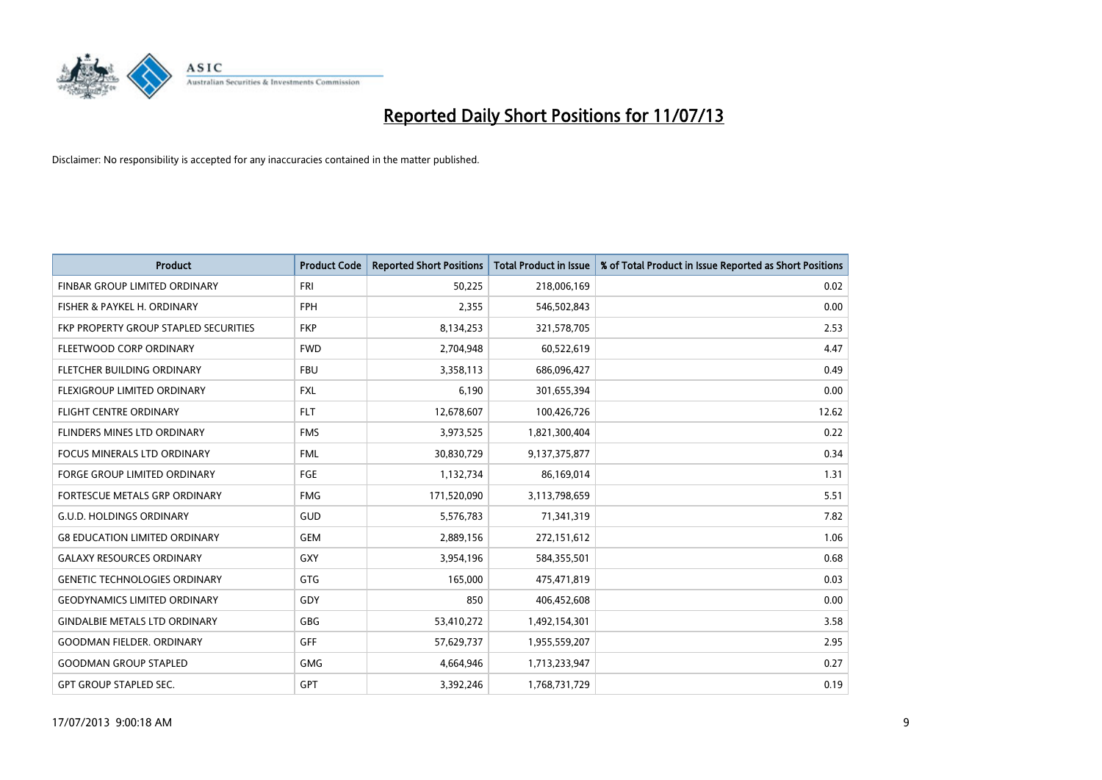

| <b>Product</b>                        | <b>Product Code</b> | <b>Reported Short Positions</b> | <b>Total Product in Issue</b> | % of Total Product in Issue Reported as Short Positions |
|---------------------------------------|---------------------|---------------------------------|-------------------------------|---------------------------------------------------------|
| FINBAR GROUP LIMITED ORDINARY         | <b>FRI</b>          | 50,225                          | 218,006,169                   | 0.02                                                    |
| FISHER & PAYKEL H. ORDINARY           | <b>FPH</b>          | 2,355                           | 546,502,843                   | 0.00                                                    |
| FKP PROPERTY GROUP STAPLED SECURITIES | <b>FKP</b>          | 8,134,253                       | 321,578,705                   | 2.53                                                    |
| FLEETWOOD CORP ORDINARY               | <b>FWD</b>          | 2,704,948                       | 60,522,619                    | 4.47                                                    |
| FLETCHER BUILDING ORDINARY            | <b>FBU</b>          | 3,358,113                       | 686,096,427                   | 0.49                                                    |
| FLEXIGROUP LIMITED ORDINARY           | <b>FXL</b>          | 6,190                           | 301,655,394                   | 0.00                                                    |
| <b>FLIGHT CENTRE ORDINARY</b>         | <b>FLT</b>          | 12,678,607                      | 100,426,726                   | 12.62                                                   |
| FLINDERS MINES LTD ORDINARY           | <b>FMS</b>          | 3,973,525                       | 1,821,300,404                 | 0.22                                                    |
| <b>FOCUS MINERALS LTD ORDINARY</b>    | <b>FML</b>          | 30,830,729                      | 9,137,375,877                 | 0.34                                                    |
| <b>FORGE GROUP LIMITED ORDINARY</b>   | FGE                 | 1,132,734                       | 86,169,014                    | 1.31                                                    |
| FORTESCUE METALS GRP ORDINARY         | <b>FMG</b>          | 171,520,090                     | 3,113,798,659                 | 5.51                                                    |
| <b>G.U.D. HOLDINGS ORDINARY</b>       | GUD                 | 5,576,783                       | 71,341,319                    | 7.82                                                    |
| <b>G8 EDUCATION LIMITED ORDINARY</b>  | <b>GEM</b>          | 2,889,156                       | 272,151,612                   | 1.06                                                    |
| <b>GALAXY RESOURCES ORDINARY</b>      | GXY                 | 3,954,196                       | 584,355,501                   | 0.68                                                    |
| <b>GENETIC TECHNOLOGIES ORDINARY</b>  | GTG                 | 165,000                         | 475,471,819                   | 0.03                                                    |
| <b>GEODYNAMICS LIMITED ORDINARY</b>   | GDY                 | 850                             | 406,452,608                   | 0.00                                                    |
| <b>GINDALBIE METALS LTD ORDINARY</b>  | GBG                 | 53,410,272                      | 1,492,154,301                 | 3.58                                                    |
| <b>GOODMAN FIELDER. ORDINARY</b>      | <b>GFF</b>          | 57,629,737                      | 1,955,559,207                 | 2.95                                                    |
| <b>GOODMAN GROUP STAPLED</b>          | <b>GMG</b>          | 4,664,946                       | 1,713,233,947                 | 0.27                                                    |
| <b>GPT GROUP STAPLED SEC.</b>         | <b>GPT</b>          | 3,392,246                       | 1,768,731,729                 | 0.19                                                    |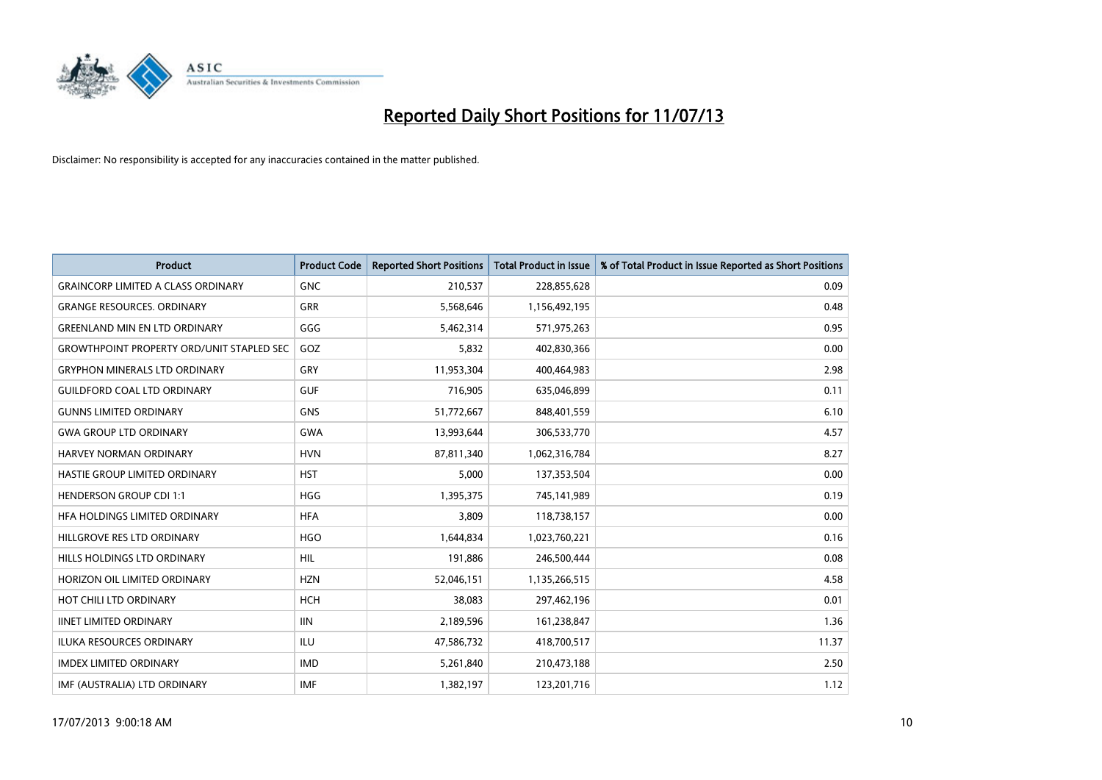

| <b>Product</b>                                   | <b>Product Code</b> | <b>Reported Short Positions</b> | <b>Total Product in Issue</b> | % of Total Product in Issue Reported as Short Positions |
|--------------------------------------------------|---------------------|---------------------------------|-------------------------------|---------------------------------------------------------|
| <b>GRAINCORP LIMITED A CLASS ORDINARY</b>        | <b>GNC</b>          | 210,537                         | 228,855,628                   | 0.09                                                    |
| <b>GRANGE RESOURCES. ORDINARY</b>                | GRR                 | 5,568,646                       | 1,156,492,195                 | 0.48                                                    |
| <b>GREENLAND MIN EN LTD ORDINARY</b>             | GGG                 | 5,462,314                       | 571,975,263                   | 0.95                                                    |
| <b>GROWTHPOINT PROPERTY ORD/UNIT STAPLED SEC</b> | GOZ                 | 5,832                           | 402,830,366                   | 0.00                                                    |
| <b>GRYPHON MINERALS LTD ORDINARY</b>             | GRY                 | 11,953,304                      | 400,464,983                   | 2.98                                                    |
| <b>GUILDFORD COAL LTD ORDINARY</b>               | <b>GUF</b>          | 716,905                         | 635,046,899                   | 0.11                                                    |
| <b>GUNNS LIMITED ORDINARY</b>                    | <b>GNS</b>          | 51,772,667                      | 848,401,559                   | 6.10                                                    |
| <b>GWA GROUP LTD ORDINARY</b>                    | <b>GWA</b>          | 13,993,644                      | 306,533,770                   | 4.57                                                    |
| <b>HARVEY NORMAN ORDINARY</b>                    | <b>HVN</b>          | 87,811,340                      | 1,062,316,784                 | 8.27                                                    |
| HASTIE GROUP LIMITED ORDINARY                    | <b>HST</b>          | 5,000                           | 137,353,504                   | 0.00                                                    |
| <b>HENDERSON GROUP CDI 1:1</b>                   | <b>HGG</b>          | 1,395,375                       | 745,141,989                   | 0.19                                                    |
| HFA HOLDINGS LIMITED ORDINARY                    | <b>HFA</b>          | 3,809                           | 118,738,157                   | 0.00                                                    |
| HILLGROVE RES LTD ORDINARY                       | <b>HGO</b>          | 1,644,834                       | 1,023,760,221                 | 0.16                                                    |
| HILLS HOLDINGS LTD ORDINARY                      | <b>HIL</b>          | 191,886                         | 246,500,444                   | 0.08                                                    |
| HORIZON OIL LIMITED ORDINARY                     | <b>HZN</b>          | 52,046,151                      | 1,135,266,515                 | 4.58                                                    |
| HOT CHILI LTD ORDINARY                           | <b>HCH</b>          | 38,083                          | 297,462,196                   | 0.01                                                    |
| <b>IINET LIMITED ORDINARY</b>                    | <b>IIN</b>          | 2,189,596                       | 161,238,847                   | 1.36                                                    |
| <b>ILUKA RESOURCES ORDINARY</b>                  | ILU                 | 47,586,732                      | 418,700,517                   | 11.37                                                   |
| <b>IMDEX LIMITED ORDINARY</b>                    | <b>IMD</b>          | 5,261,840                       | 210,473,188                   | 2.50                                                    |
| IMF (AUSTRALIA) LTD ORDINARY                     | <b>IMF</b>          | 1,382,197                       | 123,201,716                   | 1.12                                                    |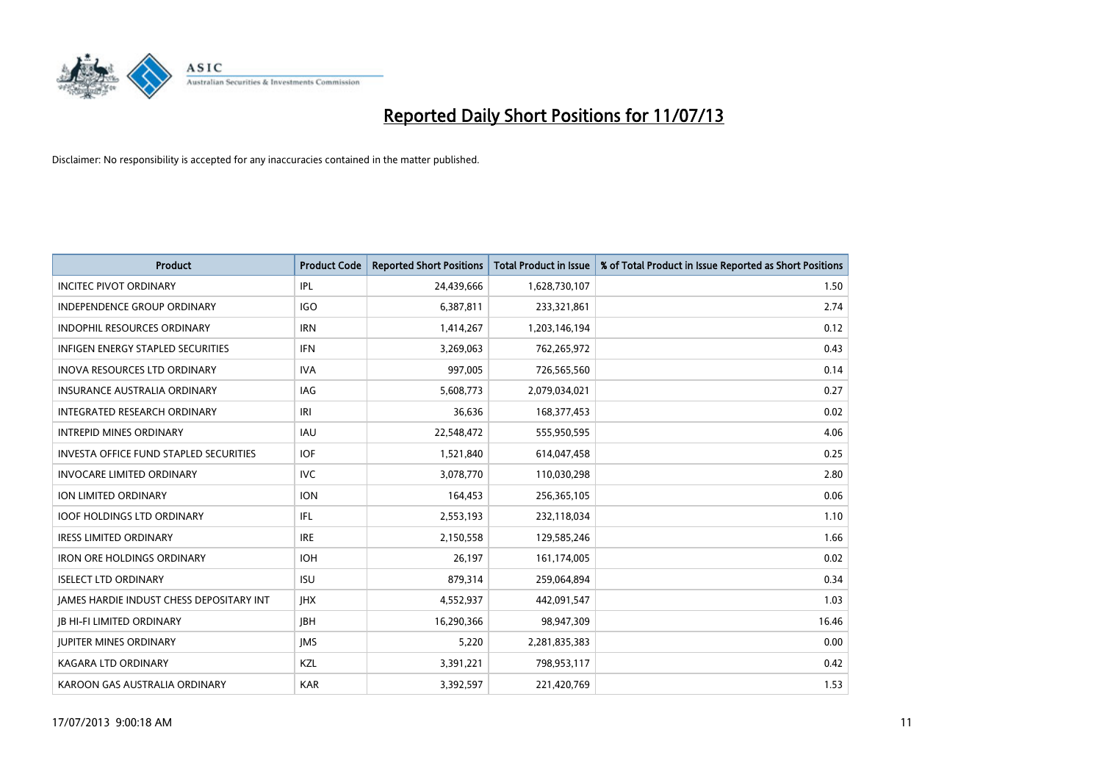

| <b>Product</b>                           | <b>Product Code</b> | <b>Reported Short Positions</b> | <b>Total Product in Issue</b> | % of Total Product in Issue Reported as Short Positions |
|------------------------------------------|---------------------|---------------------------------|-------------------------------|---------------------------------------------------------|
| <b>INCITEC PIVOT ORDINARY</b>            | IPL                 | 24,439,666                      | 1,628,730,107                 | 1.50                                                    |
| INDEPENDENCE GROUP ORDINARY              | <b>IGO</b>          | 6,387,811                       | 233,321,861                   | 2.74                                                    |
| <b>INDOPHIL RESOURCES ORDINARY</b>       | <b>IRN</b>          | 1,414,267                       | 1,203,146,194                 | 0.12                                                    |
| INFIGEN ENERGY STAPLED SECURITIES        | <b>IFN</b>          | 3,269,063                       | 762,265,972                   | 0.43                                                    |
| <b>INOVA RESOURCES LTD ORDINARY</b>      | <b>IVA</b>          | 997,005                         | 726,565,560                   | 0.14                                                    |
| <b>INSURANCE AUSTRALIA ORDINARY</b>      | IAG                 | 5,608,773                       | 2,079,034,021                 | 0.27                                                    |
| INTEGRATED RESEARCH ORDINARY             | IRI                 | 36,636                          | 168, 377, 453                 | 0.02                                                    |
| <b>INTREPID MINES ORDINARY</b>           | <b>IAU</b>          | 22,548,472                      | 555,950,595                   | 4.06                                                    |
| INVESTA OFFICE FUND STAPLED SECURITIES   | <b>IOF</b>          | 1,521,840                       | 614,047,458                   | 0.25                                                    |
| <b>INVOCARE LIMITED ORDINARY</b>         | <b>IVC</b>          | 3,078,770                       | 110,030,298                   | 2.80                                                    |
| ION LIMITED ORDINARY                     | <b>ION</b>          | 164,453                         | 256,365,105                   | 0.06                                                    |
| <b>IOOF HOLDINGS LTD ORDINARY</b>        | IFL                 | 2,553,193                       | 232,118,034                   | 1.10                                                    |
| <b>IRESS LIMITED ORDINARY</b>            | <b>IRE</b>          | 2,150,558                       | 129,585,246                   | 1.66                                                    |
| <b>IRON ORE HOLDINGS ORDINARY</b>        | <b>IOH</b>          | 26,197                          | 161,174,005                   | 0.02                                                    |
| <b>ISELECT LTD ORDINARY</b>              | <b>ISU</b>          | 879,314                         | 259,064,894                   | 0.34                                                    |
| JAMES HARDIE INDUST CHESS DEPOSITARY INT | <b>IHX</b>          | 4,552,937                       | 442,091,547                   | 1.03                                                    |
| <b>JB HI-FI LIMITED ORDINARY</b>         | <b>IBH</b>          | 16,290,366                      | 98,947,309                    | 16.46                                                   |
| <b>JUPITER MINES ORDINARY</b>            | <b>IMS</b>          | 5,220                           | 2,281,835,383                 | 0.00                                                    |
| <b>KAGARA LTD ORDINARY</b>               | KZL                 | 3,391,221                       | 798,953,117                   | 0.42                                                    |
| KAROON GAS AUSTRALIA ORDINARY            | <b>KAR</b>          | 3,392,597                       | 221,420,769                   | 1.53                                                    |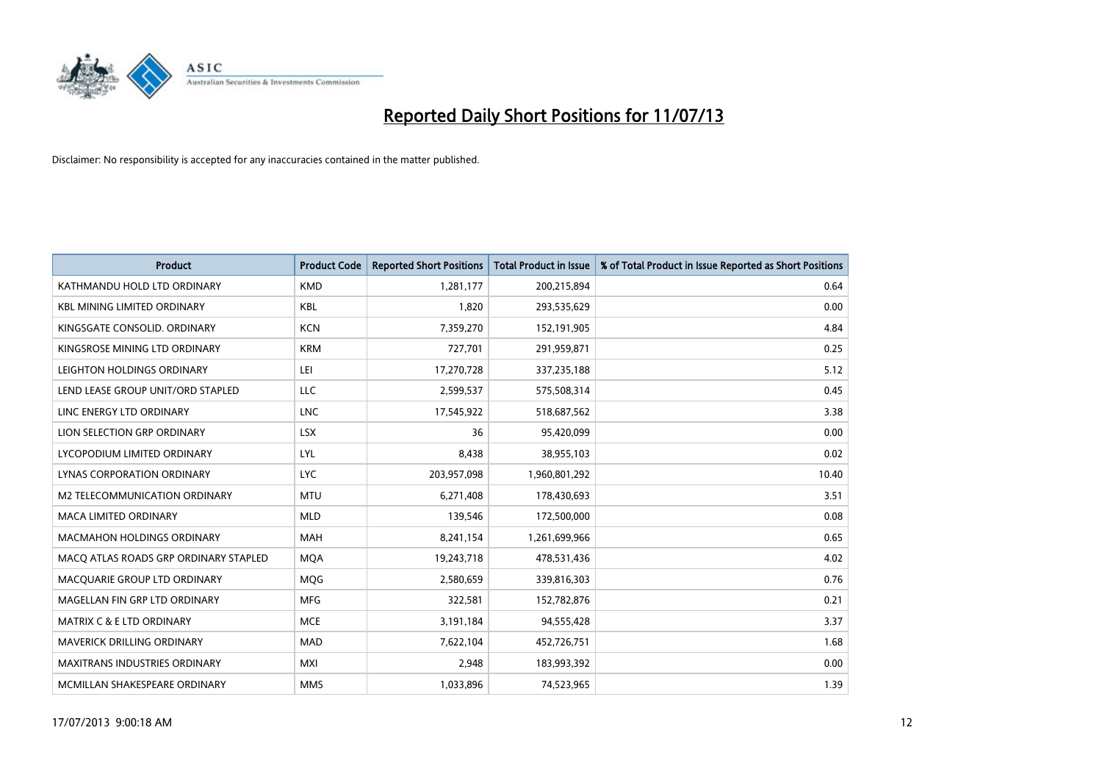

| <b>Product</b>                        | <b>Product Code</b> | <b>Reported Short Positions</b> | <b>Total Product in Issue</b> | % of Total Product in Issue Reported as Short Positions |
|---------------------------------------|---------------------|---------------------------------|-------------------------------|---------------------------------------------------------|
| KATHMANDU HOLD LTD ORDINARY           | <b>KMD</b>          | 1,281,177                       | 200,215,894                   | 0.64                                                    |
| <b>KBL MINING LIMITED ORDINARY</b>    | <b>KBL</b>          | 1,820                           | 293,535,629                   | 0.00                                                    |
| KINGSGATE CONSOLID. ORDINARY          | <b>KCN</b>          | 7,359,270                       | 152,191,905                   | 4.84                                                    |
| KINGSROSE MINING LTD ORDINARY         | <b>KRM</b>          | 727,701                         | 291,959,871                   | 0.25                                                    |
| LEIGHTON HOLDINGS ORDINARY            | LEI                 | 17,270,728                      | 337,235,188                   | 5.12                                                    |
| LEND LEASE GROUP UNIT/ORD STAPLED     | <b>LLC</b>          | 2,599,537                       | 575,508,314                   | 0.45                                                    |
| LINC ENERGY LTD ORDINARY              | <b>LNC</b>          | 17,545,922                      | 518,687,562                   | 3.38                                                    |
| LION SELECTION GRP ORDINARY           | <b>LSX</b>          | 36                              | 95,420,099                    | 0.00                                                    |
| LYCOPODIUM LIMITED ORDINARY           | <b>LYL</b>          | 8,438                           | 38,955,103                    | 0.02                                                    |
| LYNAS CORPORATION ORDINARY            | <b>LYC</b>          | 203,957,098                     | 1,960,801,292                 | 10.40                                                   |
| M2 TELECOMMUNICATION ORDINARY         | <b>MTU</b>          | 6,271,408                       | 178,430,693                   | 3.51                                                    |
| <b>MACA LIMITED ORDINARY</b>          | <b>MLD</b>          | 139,546                         | 172,500,000                   | 0.08                                                    |
| MACMAHON HOLDINGS ORDINARY            | MAH                 | 8,241,154                       | 1,261,699,966                 | 0.65                                                    |
| MACO ATLAS ROADS GRP ORDINARY STAPLED | <b>MOA</b>          | 19,243,718                      | 478,531,436                   | 4.02                                                    |
| MACQUARIE GROUP LTD ORDINARY          | MQG                 | 2,580,659                       | 339,816,303                   | 0.76                                                    |
| MAGELLAN FIN GRP LTD ORDINARY         | <b>MFG</b>          | 322,581                         | 152,782,876                   | 0.21                                                    |
| <b>MATRIX C &amp; E LTD ORDINARY</b>  | <b>MCE</b>          | 3,191,184                       | 94,555,428                    | 3.37                                                    |
| MAVERICK DRILLING ORDINARY            | <b>MAD</b>          | 7,622,104                       | 452,726,751                   | 1.68                                                    |
| <b>MAXITRANS INDUSTRIES ORDINARY</b>  | <b>MXI</b>          | 2,948                           | 183,993,392                   | 0.00                                                    |
| MCMILLAN SHAKESPEARE ORDINARY         | <b>MMS</b>          | 1,033,896                       | 74,523,965                    | 1.39                                                    |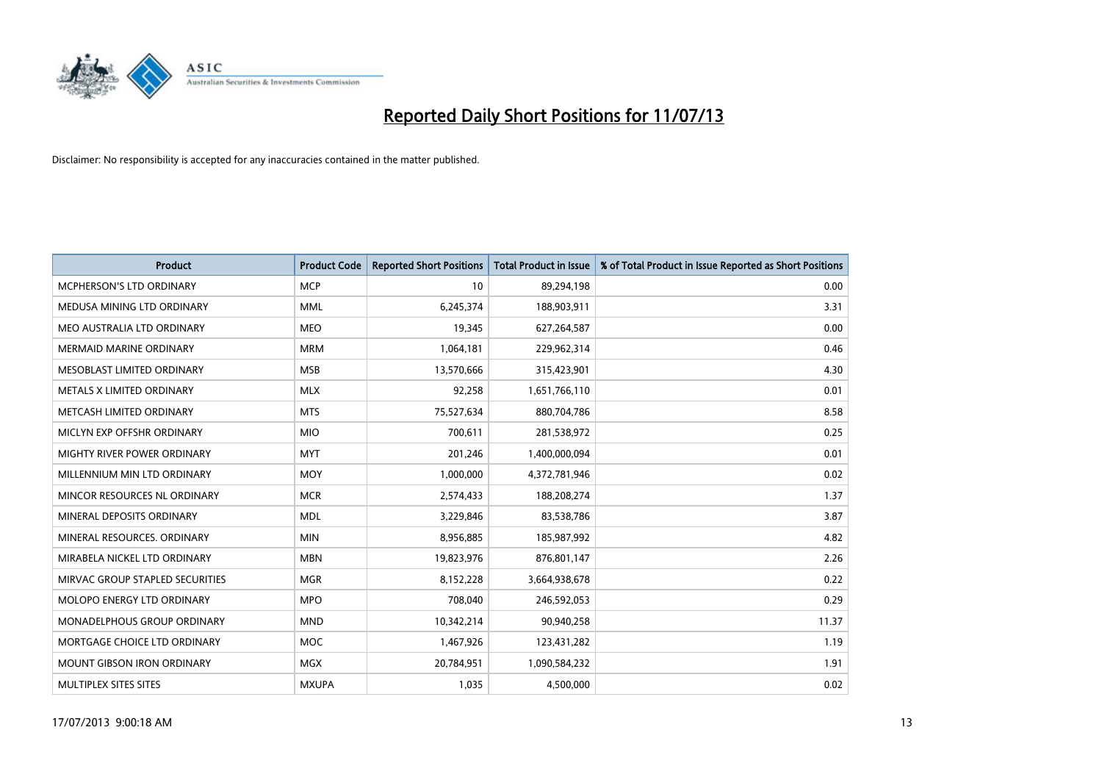

| <b>Product</b>                    | <b>Product Code</b> | <b>Reported Short Positions</b> | <b>Total Product in Issue</b> | % of Total Product in Issue Reported as Short Positions |
|-----------------------------------|---------------------|---------------------------------|-------------------------------|---------------------------------------------------------|
| <b>MCPHERSON'S LTD ORDINARY</b>   | <b>MCP</b>          | 10                              | 89,294,198                    | 0.00                                                    |
| MEDUSA MINING LTD ORDINARY        | <b>MML</b>          | 6,245,374                       | 188,903,911                   | 3.31                                                    |
| MEO AUSTRALIA LTD ORDINARY        | <b>MEO</b>          | 19,345                          | 627,264,587                   | 0.00                                                    |
| <b>MERMAID MARINE ORDINARY</b>    | <b>MRM</b>          | 1,064,181                       | 229,962,314                   | 0.46                                                    |
| MESOBLAST LIMITED ORDINARY        | <b>MSB</b>          | 13,570,666                      | 315,423,901                   | 4.30                                                    |
| METALS X LIMITED ORDINARY         | <b>MLX</b>          | 92,258                          | 1,651,766,110                 | 0.01                                                    |
| METCASH LIMITED ORDINARY          | <b>MTS</b>          | 75,527,634                      | 880,704,786                   | 8.58                                                    |
| MICLYN EXP OFFSHR ORDINARY        | <b>MIO</b>          | 700,611                         | 281,538,972                   | 0.25                                                    |
| MIGHTY RIVER POWER ORDINARY       | <b>MYT</b>          | 201,246                         | 1,400,000,094                 | 0.01                                                    |
| MILLENNIUM MIN LTD ORDINARY       | <b>MOY</b>          | 1,000,000                       | 4,372,781,946                 | 0.02                                                    |
| MINCOR RESOURCES NL ORDINARY      | <b>MCR</b>          | 2,574,433                       | 188,208,274                   | 1.37                                                    |
| MINERAL DEPOSITS ORDINARY         | <b>MDL</b>          | 3,229,846                       | 83,538,786                    | 3.87                                                    |
| MINERAL RESOURCES. ORDINARY       | <b>MIN</b>          | 8,956,885                       | 185,987,992                   | 4.82                                                    |
| MIRABELA NICKEL LTD ORDINARY      | <b>MBN</b>          | 19,823,976                      | 876,801,147                   | 2.26                                                    |
| MIRVAC GROUP STAPLED SECURITIES   | <b>MGR</b>          | 8,152,228                       | 3,664,938,678                 | 0.22                                                    |
| MOLOPO ENERGY LTD ORDINARY        | <b>MPO</b>          | 708,040                         | 246,592,053                   | 0.29                                                    |
| MONADELPHOUS GROUP ORDINARY       | <b>MND</b>          | 10,342,214                      | 90,940,258                    | 11.37                                                   |
| MORTGAGE CHOICE LTD ORDINARY      | <b>MOC</b>          | 1,467,926                       | 123,431,282                   | 1.19                                                    |
| <b>MOUNT GIBSON IRON ORDINARY</b> | MGX                 | 20,784,951                      | 1,090,584,232                 | 1.91                                                    |
| MULTIPLEX SITES SITES             | <b>MXUPA</b>        | 1,035                           | 4,500,000                     | 0.02                                                    |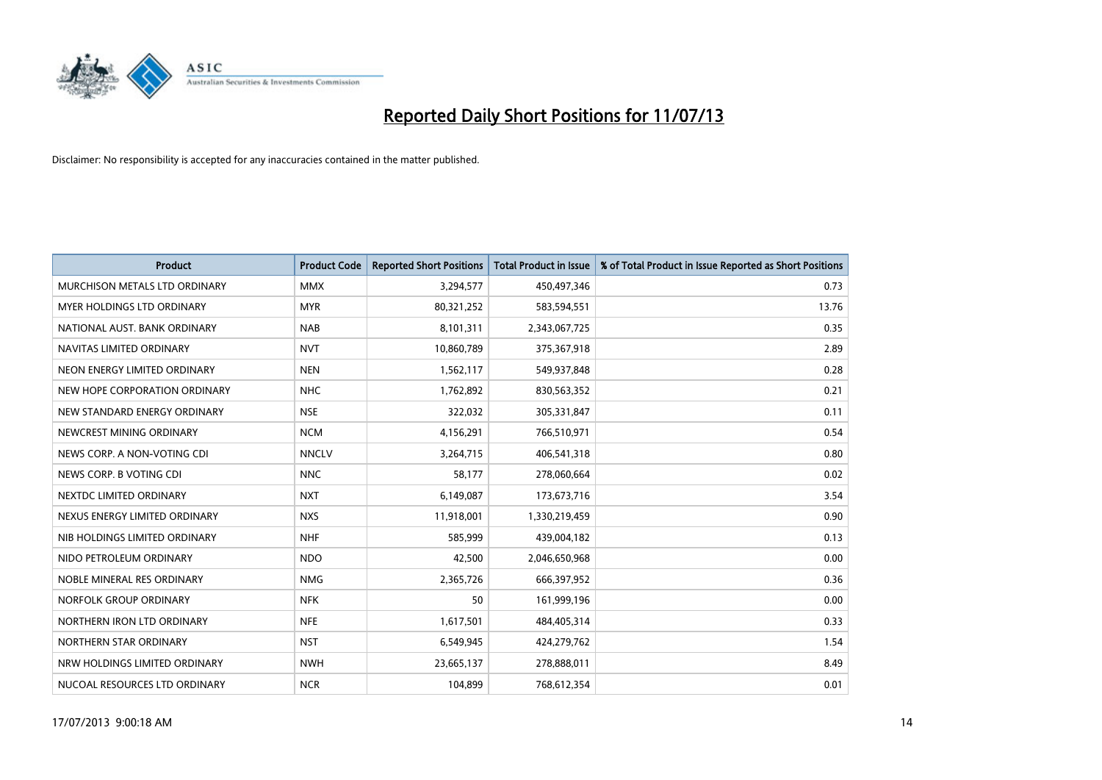

| <b>Product</b>                | <b>Product Code</b> | <b>Reported Short Positions</b> | <b>Total Product in Issue</b> | % of Total Product in Issue Reported as Short Positions |
|-------------------------------|---------------------|---------------------------------|-------------------------------|---------------------------------------------------------|
| MURCHISON METALS LTD ORDINARY | <b>MMX</b>          | 3,294,577                       | 450,497,346                   | 0.73                                                    |
| MYER HOLDINGS LTD ORDINARY    | <b>MYR</b>          | 80,321,252                      | 583,594,551                   | 13.76                                                   |
| NATIONAL AUST, BANK ORDINARY  | <b>NAB</b>          | 8,101,311                       | 2,343,067,725                 | 0.35                                                    |
| NAVITAS LIMITED ORDINARY      | <b>NVT</b>          | 10,860,789                      | 375,367,918                   | 2.89                                                    |
| NEON ENERGY LIMITED ORDINARY  | <b>NEN</b>          | 1,562,117                       | 549,937,848                   | 0.28                                                    |
| NEW HOPE CORPORATION ORDINARY | <b>NHC</b>          | 1,762,892                       | 830,563,352                   | 0.21                                                    |
| NEW STANDARD ENERGY ORDINARY  | <b>NSE</b>          | 322,032                         | 305,331,847                   | 0.11                                                    |
| NEWCREST MINING ORDINARY      | <b>NCM</b>          | 4,156,291                       | 766,510,971                   | 0.54                                                    |
| NEWS CORP. A NON-VOTING CDI   | <b>NNCLV</b>        | 3,264,715                       | 406,541,318                   | 0.80                                                    |
| NEWS CORP. B VOTING CDI       | <b>NNC</b>          | 58,177                          | 278,060,664                   | 0.02                                                    |
| NEXTDC LIMITED ORDINARY       | <b>NXT</b>          | 6,149,087                       | 173,673,716                   | 3.54                                                    |
| NEXUS ENERGY LIMITED ORDINARY | <b>NXS</b>          | 11,918,001                      | 1,330,219,459                 | 0.90                                                    |
| NIB HOLDINGS LIMITED ORDINARY | <b>NHF</b>          | 585,999                         | 439,004,182                   | 0.13                                                    |
| NIDO PETROLEUM ORDINARY       | <b>NDO</b>          | 42,500                          | 2,046,650,968                 | 0.00                                                    |
| NOBLE MINERAL RES ORDINARY    | <b>NMG</b>          | 2,365,726                       | 666,397,952                   | 0.36                                                    |
| NORFOLK GROUP ORDINARY        | <b>NFK</b>          | 50                              | 161,999,196                   | 0.00                                                    |
| NORTHERN IRON LTD ORDINARY    | <b>NFE</b>          | 1,617,501                       | 484,405,314                   | 0.33                                                    |
| NORTHERN STAR ORDINARY        | <b>NST</b>          | 6,549,945                       | 424,279,762                   | 1.54                                                    |
| NRW HOLDINGS LIMITED ORDINARY | <b>NWH</b>          | 23,665,137                      | 278,888,011                   | 8.49                                                    |
| NUCOAL RESOURCES LTD ORDINARY | <b>NCR</b>          | 104,899                         | 768,612,354                   | 0.01                                                    |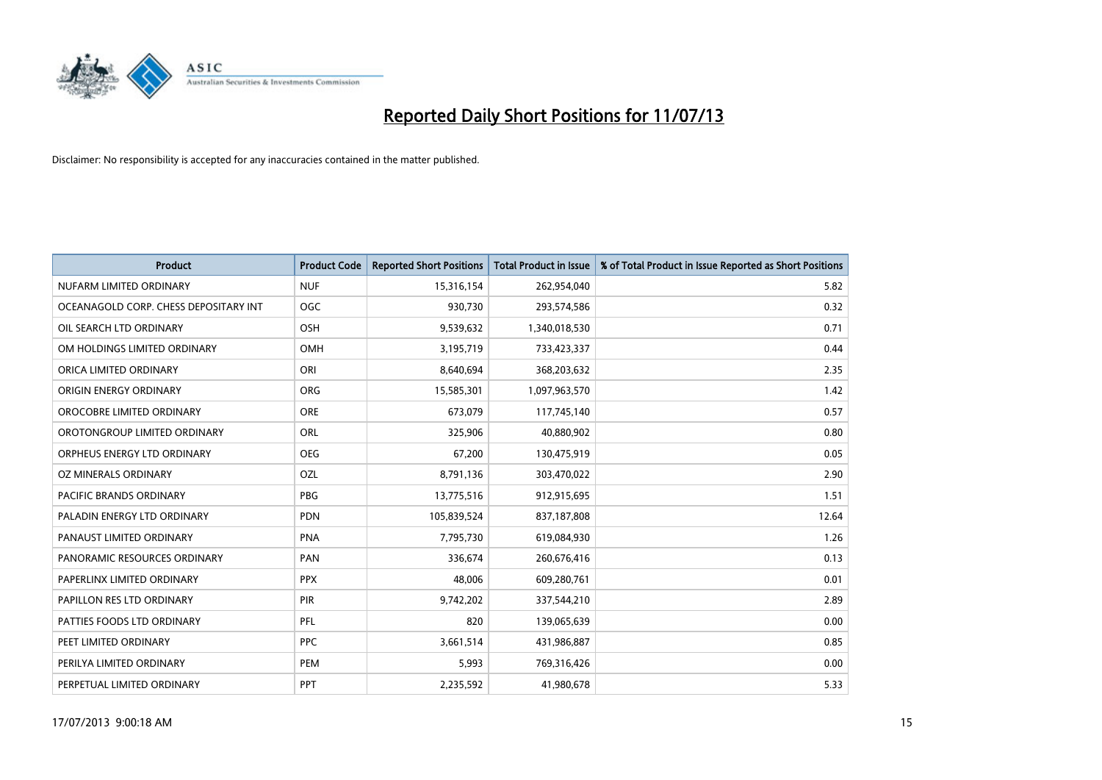

| <b>Product</b>                        | <b>Product Code</b> | <b>Reported Short Positions</b> | <b>Total Product in Issue</b> | % of Total Product in Issue Reported as Short Positions |
|---------------------------------------|---------------------|---------------------------------|-------------------------------|---------------------------------------------------------|
| NUFARM LIMITED ORDINARY               | <b>NUF</b>          | 15,316,154                      | 262,954,040                   | 5.82                                                    |
| OCEANAGOLD CORP. CHESS DEPOSITARY INT | <b>OGC</b>          | 930,730                         | 293,574,586                   | 0.32                                                    |
| OIL SEARCH LTD ORDINARY               | OSH                 | 9,539,632                       | 1,340,018,530                 | 0.71                                                    |
| OM HOLDINGS LIMITED ORDINARY          | OMH                 | 3,195,719                       | 733,423,337                   | 0.44                                                    |
| ORICA LIMITED ORDINARY                | ORI                 | 8,640,694                       | 368,203,632                   | 2.35                                                    |
| ORIGIN ENERGY ORDINARY                | ORG                 | 15,585,301                      | 1,097,963,570                 | 1.42                                                    |
| OROCOBRE LIMITED ORDINARY             | <b>ORE</b>          | 673,079                         | 117,745,140                   | 0.57                                                    |
| OROTONGROUP LIMITED ORDINARY          | ORL                 | 325,906                         | 40,880,902                    | 0.80                                                    |
| ORPHEUS ENERGY LTD ORDINARY           | <b>OEG</b>          | 67,200                          | 130,475,919                   | 0.05                                                    |
| <b>OZ MINERALS ORDINARY</b>           | <b>OZL</b>          | 8,791,136                       | 303,470,022                   | 2.90                                                    |
| <b>PACIFIC BRANDS ORDINARY</b>        | <b>PBG</b>          | 13,775,516                      | 912,915,695                   | 1.51                                                    |
| PALADIN ENERGY LTD ORDINARY           | <b>PDN</b>          | 105,839,524                     | 837,187,808                   | 12.64                                                   |
| PANAUST LIMITED ORDINARY              | <b>PNA</b>          | 7,795,730                       | 619,084,930                   | 1.26                                                    |
| PANORAMIC RESOURCES ORDINARY          | PAN                 | 336,674                         | 260,676,416                   | 0.13                                                    |
| PAPERLINX LIMITED ORDINARY            | <b>PPX</b>          | 48,006                          | 609,280,761                   | 0.01                                                    |
| PAPILLON RES LTD ORDINARY             | PIR                 | 9,742,202                       | 337,544,210                   | 2.89                                                    |
| PATTIES FOODS LTD ORDINARY            | PFL                 | 820                             | 139,065,639                   | 0.00                                                    |
| PEET LIMITED ORDINARY                 | <b>PPC</b>          | 3,661,514                       | 431,986,887                   | 0.85                                                    |
| PERILYA LIMITED ORDINARY              | <b>PEM</b>          | 5,993                           | 769,316,426                   | 0.00                                                    |
| PERPETUAL LIMITED ORDINARY            | PPT                 | 2,235,592                       | 41,980,678                    | 5.33                                                    |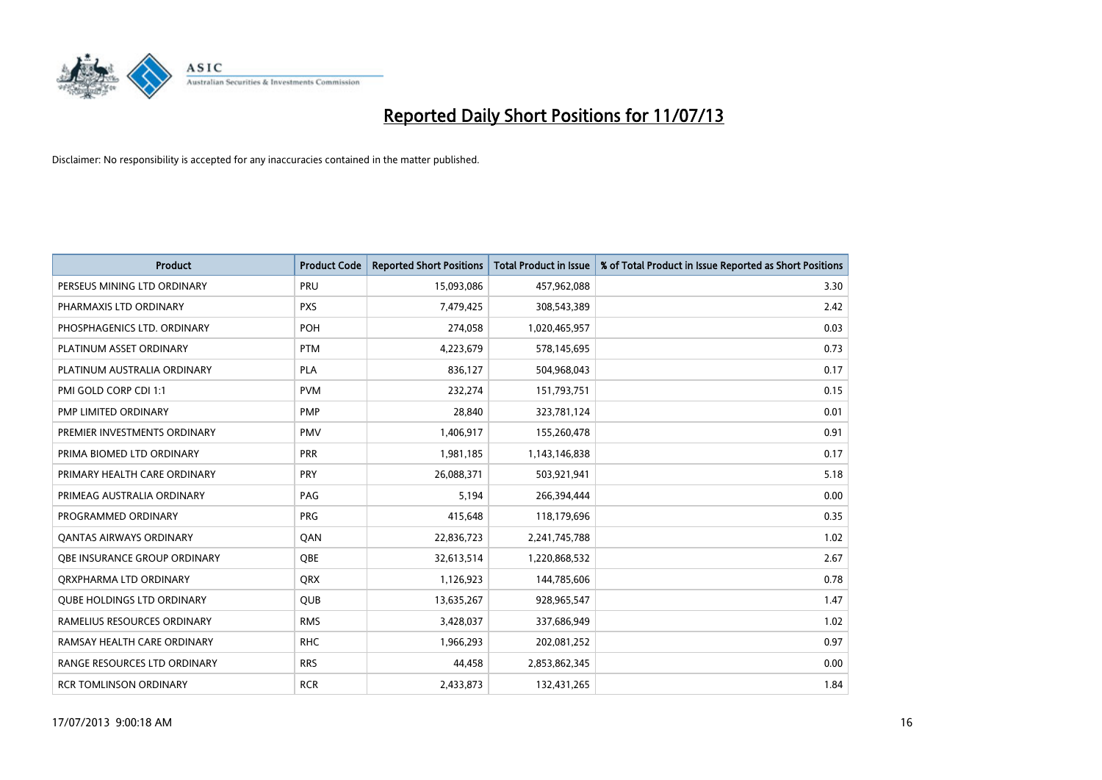

| <b>Product</b>                    | <b>Product Code</b> | <b>Reported Short Positions</b> | <b>Total Product in Issue</b> | % of Total Product in Issue Reported as Short Positions |
|-----------------------------------|---------------------|---------------------------------|-------------------------------|---------------------------------------------------------|
| PERSEUS MINING LTD ORDINARY       | PRU                 | 15,093,086                      | 457,962,088                   | 3.30                                                    |
| PHARMAXIS LTD ORDINARY            | <b>PXS</b>          | 7,479,425                       | 308,543,389                   | 2.42                                                    |
| PHOSPHAGENICS LTD. ORDINARY       | POH                 | 274,058                         | 1,020,465,957                 | 0.03                                                    |
| PLATINUM ASSET ORDINARY           | <b>PTM</b>          | 4,223,679                       | 578,145,695                   | 0.73                                                    |
| PLATINUM AUSTRALIA ORDINARY       | <b>PLA</b>          | 836,127                         | 504,968,043                   | 0.17                                                    |
| PMI GOLD CORP CDI 1:1             | <b>PVM</b>          | 232,274                         | 151,793,751                   | 0.15                                                    |
| PMP LIMITED ORDINARY              | <b>PMP</b>          | 28,840                          | 323,781,124                   | 0.01                                                    |
| PREMIER INVESTMENTS ORDINARY      | <b>PMV</b>          | 1,406,917                       | 155,260,478                   | 0.91                                                    |
| PRIMA BIOMED LTD ORDINARY         | <b>PRR</b>          | 1,981,185                       | 1,143,146,838                 | 0.17                                                    |
| PRIMARY HEALTH CARE ORDINARY      | <b>PRY</b>          | 26,088,371                      | 503,921,941                   | 5.18                                                    |
| PRIMEAG AUSTRALIA ORDINARY        | PAG                 | 5,194                           | 266,394,444                   | 0.00                                                    |
| PROGRAMMED ORDINARY               | <b>PRG</b>          | 415,648                         | 118,179,696                   | 0.35                                                    |
| <b>QANTAS AIRWAYS ORDINARY</b>    | QAN                 | 22,836,723                      | 2,241,745,788                 | 1.02                                                    |
| OBE INSURANCE GROUP ORDINARY      | <b>OBE</b>          | 32,613,514                      | 1,220,868,532                 | 2.67                                                    |
| ORXPHARMA LTD ORDINARY            | <b>QRX</b>          | 1,126,923                       | 144,785,606                   | 0.78                                                    |
| <b>QUBE HOLDINGS LTD ORDINARY</b> | QUB                 | 13,635,267                      | 928,965,547                   | 1.47                                                    |
| RAMELIUS RESOURCES ORDINARY       | <b>RMS</b>          | 3,428,037                       | 337,686,949                   | 1.02                                                    |
| RAMSAY HEALTH CARE ORDINARY       | <b>RHC</b>          | 1,966,293                       | 202,081,252                   | 0.97                                                    |
| RANGE RESOURCES LTD ORDINARY      | <b>RRS</b>          | 44,458                          | 2,853,862,345                 | 0.00                                                    |
| <b>RCR TOMLINSON ORDINARY</b>     | <b>RCR</b>          | 2,433,873                       | 132,431,265                   | 1.84                                                    |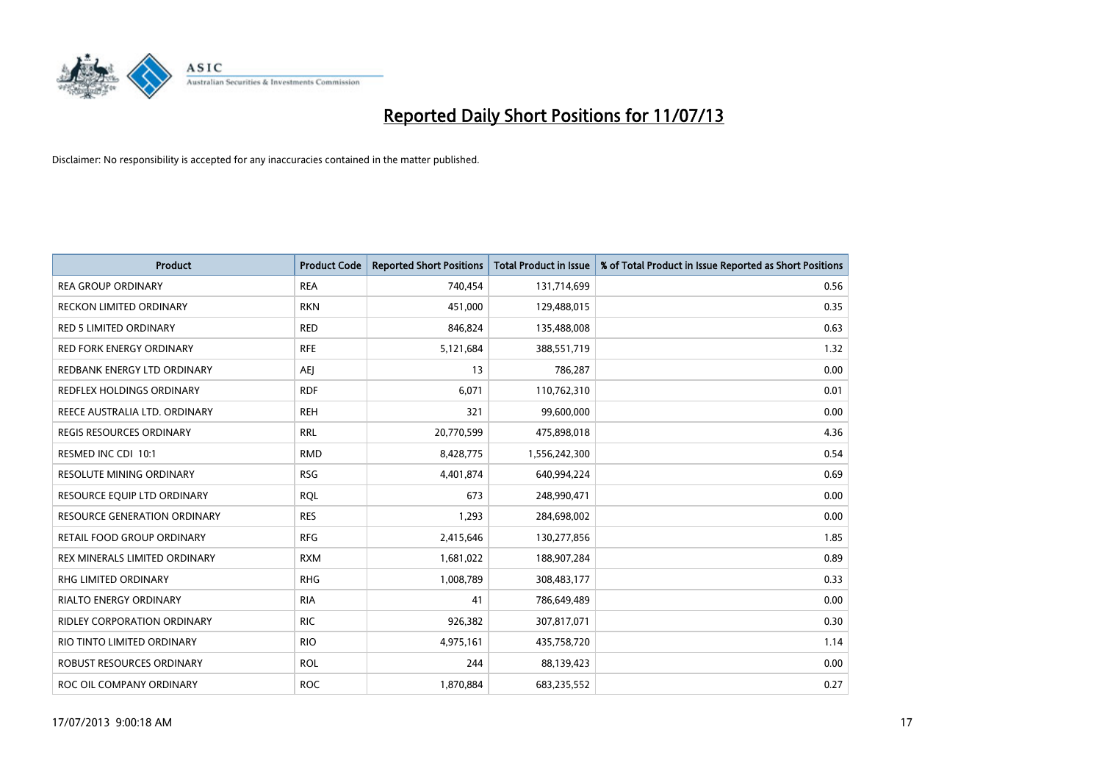

| <b>Product</b>                      | <b>Product Code</b> | <b>Reported Short Positions</b> | <b>Total Product in Issue</b> | % of Total Product in Issue Reported as Short Positions |
|-------------------------------------|---------------------|---------------------------------|-------------------------------|---------------------------------------------------------|
| <b>REA GROUP ORDINARY</b>           | <b>REA</b>          | 740,454                         | 131,714,699                   | 0.56                                                    |
| RECKON LIMITED ORDINARY             | <b>RKN</b>          | 451,000                         | 129,488,015                   | 0.35                                                    |
| <b>RED 5 LIMITED ORDINARY</b>       | <b>RED</b>          | 846,824                         | 135,488,008                   | 0.63                                                    |
| <b>RED FORK ENERGY ORDINARY</b>     | <b>RFE</b>          | 5,121,684                       | 388,551,719                   | 1.32                                                    |
| REDBANK ENERGY LTD ORDINARY         | <b>AEI</b>          | 13                              | 786,287                       | 0.00                                                    |
| <b>REDFLEX HOLDINGS ORDINARY</b>    | <b>RDF</b>          | 6,071                           | 110,762,310                   | 0.01                                                    |
| REECE AUSTRALIA LTD. ORDINARY       | <b>REH</b>          | 321                             | 99,600,000                    | 0.00                                                    |
| REGIS RESOURCES ORDINARY            | <b>RRL</b>          | 20,770,599                      | 475,898,018                   | 4.36                                                    |
| RESMED INC CDI 10:1                 | <b>RMD</b>          | 8,428,775                       | 1,556,242,300                 | 0.54                                                    |
| <b>RESOLUTE MINING ORDINARY</b>     | <b>RSG</b>          | 4,401,874                       | 640,994,224                   | 0.69                                                    |
| RESOURCE EQUIP LTD ORDINARY         | <b>RQL</b>          | 673                             | 248,990,471                   | 0.00                                                    |
| <b>RESOURCE GENERATION ORDINARY</b> | <b>RES</b>          | 1,293                           | 284,698,002                   | 0.00                                                    |
| RETAIL FOOD GROUP ORDINARY          | <b>RFG</b>          | 2,415,646                       | 130,277,856                   | 1.85                                                    |
| REX MINERALS LIMITED ORDINARY       | <b>RXM</b>          | 1,681,022                       | 188,907,284                   | 0.89                                                    |
| <b>RHG LIMITED ORDINARY</b>         | <b>RHG</b>          | 1,008,789                       | 308,483,177                   | 0.33                                                    |
| RIALTO ENERGY ORDINARY              | <b>RIA</b>          | 41                              | 786,649,489                   | 0.00                                                    |
| RIDLEY CORPORATION ORDINARY         | <b>RIC</b>          | 926,382                         | 307,817,071                   | 0.30                                                    |
| RIO TINTO LIMITED ORDINARY          | <b>RIO</b>          | 4,975,161                       | 435,758,720                   | 1.14                                                    |
| ROBUST RESOURCES ORDINARY           | <b>ROL</b>          | 244                             | 88,139,423                    | 0.00                                                    |
| ROC OIL COMPANY ORDINARY            | <b>ROC</b>          | 1,870,884                       | 683,235,552                   | 0.27                                                    |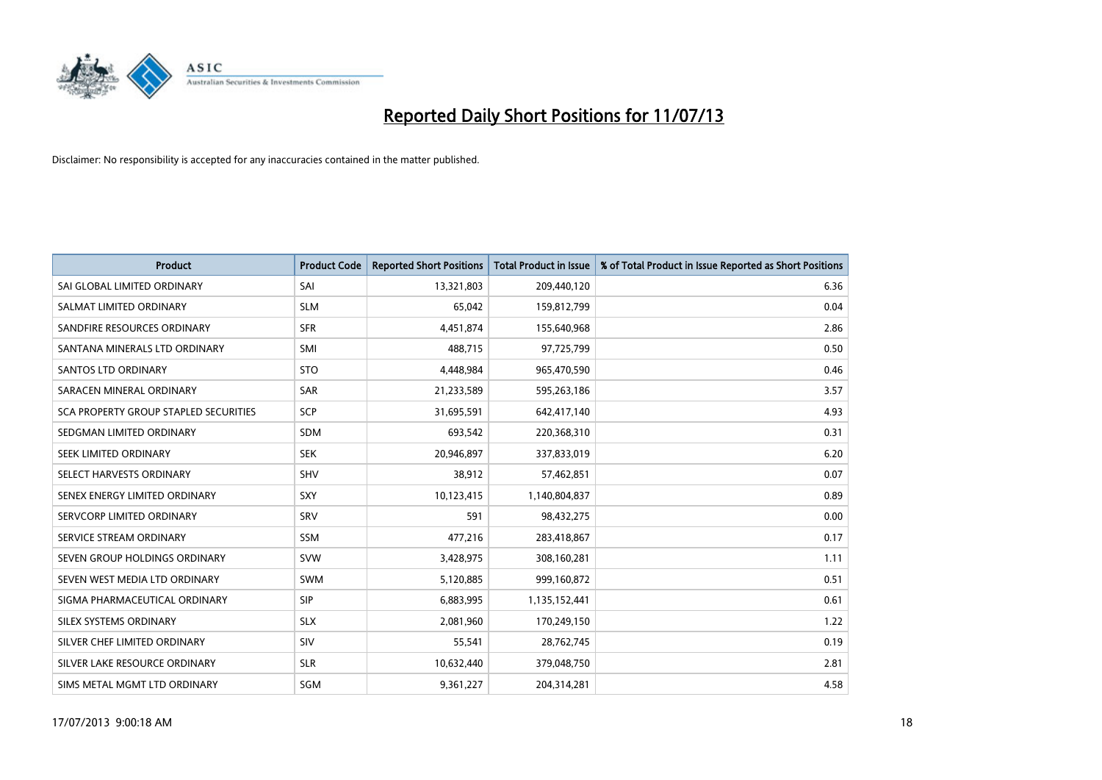

| <b>Product</b>                        | <b>Product Code</b> | <b>Reported Short Positions</b> | <b>Total Product in Issue</b> | % of Total Product in Issue Reported as Short Positions |
|---------------------------------------|---------------------|---------------------------------|-------------------------------|---------------------------------------------------------|
| SAI GLOBAL LIMITED ORDINARY           | SAI                 | 13,321,803                      | 209,440,120                   | 6.36                                                    |
| SALMAT LIMITED ORDINARY               | <b>SLM</b>          | 65,042                          | 159,812,799                   | 0.04                                                    |
| SANDFIRE RESOURCES ORDINARY           | <b>SFR</b>          | 4,451,874                       | 155,640,968                   | 2.86                                                    |
| SANTANA MINERALS LTD ORDINARY         | SMI                 | 488,715                         | 97,725,799                    | 0.50                                                    |
| <b>SANTOS LTD ORDINARY</b>            | <b>STO</b>          | 4,448,984                       | 965,470,590                   | 0.46                                                    |
| SARACEN MINERAL ORDINARY              | SAR                 | 21,233,589                      | 595,263,186                   | 3.57                                                    |
| SCA PROPERTY GROUP STAPLED SECURITIES | SCP                 | 31,695,591                      | 642,417,140                   | 4.93                                                    |
| SEDGMAN LIMITED ORDINARY              | <b>SDM</b>          | 693,542                         | 220,368,310                   | 0.31                                                    |
| SEEK LIMITED ORDINARY                 | <b>SEK</b>          | 20,946,897                      | 337,833,019                   | 6.20                                                    |
| SELECT HARVESTS ORDINARY              | SHV                 | 38,912                          | 57,462,851                    | 0.07                                                    |
| SENEX ENERGY LIMITED ORDINARY         | <b>SXY</b>          | 10,123,415                      | 1,140,804,837                 | 0.89                                                    |
| SERVCORP LIMITED ORDINARY             | SRV                 | 591                             | 98,432,275                    | 0.00                                                    |
| SERVICE STREAM ORDINARY               | SSM                 | 477,216                         | 283,418,867                   | 0.17                                                    |
| SEVEN GROUP HOLDINGS ORDINARY         | <b>SVW</b>          | 3,428,975                       | 308,160,281                   | 1.11                                                    |
| SEVEN WEST MEDIA LTD ORDINARY         | <b>SWM</b>          | 5,120,885                       | 999,160,872                   | 0.51                                                    |
| SIGMA PHARMACEUTICAL ORDINARY         | <b>SIP</b>          | 6,883,995                       | 1,135,152,441                 | 0.61                                                    |
| SILEX SYSTEMS ORDINARY                | <b>SLX</b>          | 2,081,960                       | 170,249,150                   | 1.22                                                    |
| SILVER CHEF LIMITED ORDINARY          | SIV                 | 55,541                          | 28,762,745                    | 0.19                                                    |
| SILVER LAKE RESOURCE ORDINARY         | <b>SLR</b>          | 10,632,440                      | 379,048,750                   | 2.81                                                    |
| SIMS METAL MGMT LTD ORDINARY          | SGM                 | 9,361,227                       | 204,314,281                   | 4.58                                                    |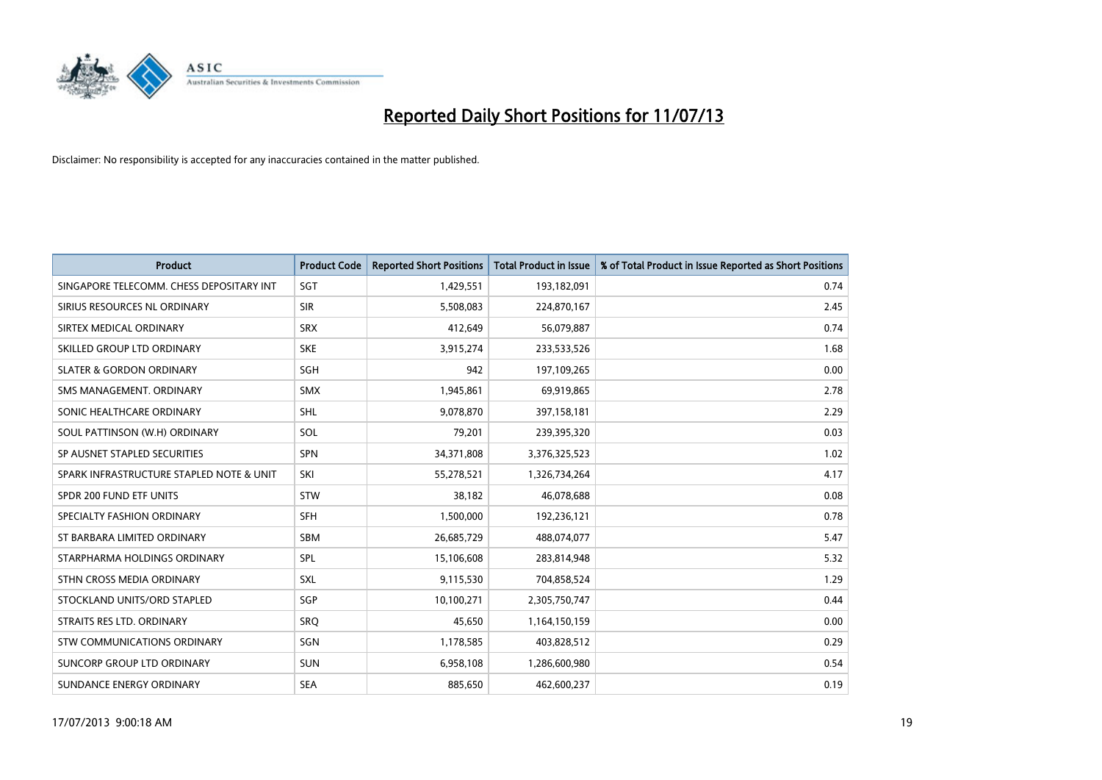

| <b>Product</b>                           | <b>Product Code</b> | <b>Reported Short Positions</b> | <b>Total Product in Issue</b> | % of Total Product in Issue Reported as Short Positions |
|------------------------------------------|---------------------|---------------------------------|-------------------------------|---------------------------------------------------------|
| SINGAPORE TELECOMM. CHESS DEPOSITARY INT | SGT                 | 1,429,551                       | 193,182,091                   | 0.74                                                    |
| SIRIUS RESOURCES NL ORDINARY             | <b>SIR</b>          | 5,508,083                       | 224,870,167                   | 2.45                                                    |
| SIRTEX MEDICAL ORDINARY                  | <b>SRX</b>          | 412,649                         | 56,079,887                    | 0.74                                                    |
| SKILLED GROUP LTD ORDINARY               | <b>SKE</b>          | 3,915,274                       | 233,533,526                   | 1.68                                                    |
| <b>SLATER &amp; GORDON ORDINARY</b>      | SGH                 | 942                             | 197,109,265                   | 0.00                                                    |
| SMS MANAGEMENT, ORDINARY                 | <b>SMX</b>          | 1,945,861                       | 69,919,865                    | 2.78                                                    |
| SONIC HEALTHCARE ORDINARY                | <b>SHL</b>          | 9,078,870                       | 397,158,181                   | 2.29                                                    |
| SOUL PATTINSON (W.H) ORDINARY            | SOL                 | 79,201                          | 239,395,320                   | 0.03                                                    |
| SP AUSNET STAPLED SECURITIES             | <b>SPN</b>          | 34,371,808                      | 3,376,325,523                 | 1.02                                                    |
| SPARK INFRASTRUCTURE STAPLED NOTE & UNIT | SKI                 | 55,278,521                      | 1,326,734,264                 | 4.17                                                    |
| SPDR 200 FUND ETF UNITS                  | <b>STW</b>          | 38,182                          | 46,078,688                    | 0.08                                                    |
| SPECIALTY FASHION ORDINARY               | <b>SFH</b>          | 1,500,000                       | 192,236,121                   | 0.78                                                    |
| ST BARBARA LIMITED ORDINARY              | <b>SBM</b>          | 26,685,729                      | 488,074,077                   | 5.47                                                    |
| STARPHARMA HOLDINGS ORDINARY             | SPL                 | 15,106,608                      | 283,814,948                   | 5.32                                                    |
| STHN CROSS MEDIA ORDINARY                | SXL                 | 9,115,530                       | 704,858,524                   | 1.29                                                    |
| STOCKLAND UNITS/ORD STAPLED              | SGP                 | 10,100,271                      | 2,305,750,747                 | 0.44                                                    |
| STRAITS RES LTD. ORDINARY                | <b>SRQ</b>          | 45,650                          | 1,164,150,159                 | 0.00                                                    |
| STW COMMUNICATIONS ORDINARY              | SGN                 | 1,178,585                       | 403,828,512                   | 0.29                                                    |
| SUNCORP GROUP LTD ORDINARY               | <b>SUN</b>          | 6,958,108                       | 1,286,600,980                 | 0.54                                                    |
| SUNDANCE ENERGY ORDINARY                 | <b>SEA</b>          | 885,650                         | 462,600,237                   | 0.19                                                    |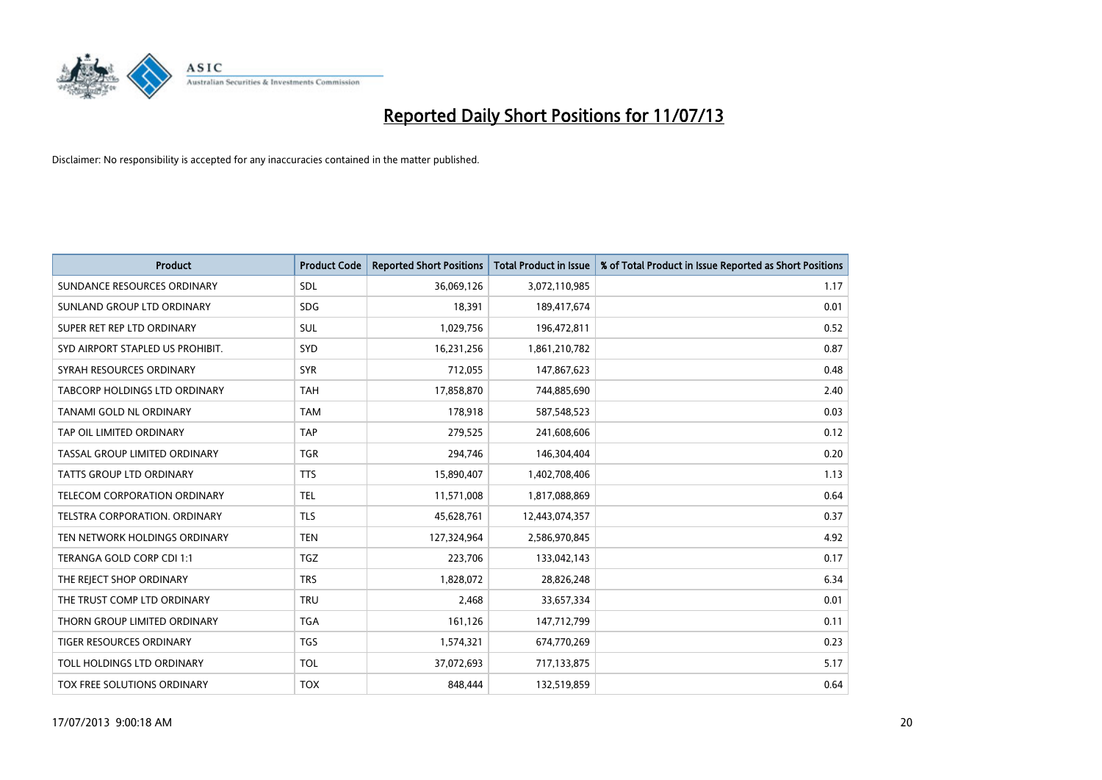

| <b>Product</b>                       | <b>Product Code</b> | <b>Reported Short Positions</b> | <b>Total Product in Issue</b> | % of Total Product in Issue Reported as Short Positions |
|--------------------------------------|---------------------|---------------------------------|-------------------------------|---------------------------------------------------------|
| SUNDANCE RESOURCES ORDINARY          | SDL                 | 36,069,126                      | 3,072,110,985                 | 1.17                                                    |
| SUNLAND GROUP LTD ORDINARY           | <b>SDG</b>          | 18,391                          | 189,417,674                   | 0.01                                                    |
| SUPER RET REP LTD ORDINARY           | <b>SUL</b>          | 1,029,756                       | 196,472,811                   | 0.52                                                    |
| SYD AIRPORT STAPLED US PROHIBIT.     | SYD                 | 16,231,256                      | 1,861,210,782                 | 0.87                                                    |
| SYRAH RESOURCES ORDINARY             | <b>SYR</b>          | 712,055                         | 147,867,623                   | 0.48                                                    |
| TABCORP HOLDINGS LTD ORDINARY        | <b>TAH</b>          | 17,858,870                      | 744,885,690                   | 2.40                                                    |
| TANAMI GOLD NL ORDINARY              | <b>TAM</b>          | 178,918                         | 587,548,523                   | 0.03                                                    |
| TAP OIL LIMITED ORDINARY             | <b>TAP</b>          | 279,525                         | 241,608,606                   | 0.12                                                    |
| TASSAL GROUP LIMITED ORDINARY        | <b>TGR</b>          | 294,746                         | 146,304,404                   | 0.20                                                    |
| <b>TATTS GROUP LTD ORDINARY</b>      | <b>TTS</b>          | 15,890,407                      | 1,402,708,406                 | 1.13                                                    |
| TELECOM CORPORATION ORDINARY         | <b>TEL</b>          | 11,571,008                      | 1,817,088,869                 | 0.64                                                    |
| <b>TELSTRA CORPORATION, ORDINARY</b> | <b>TLS</b>          | 45,628,761                      | 12,443,074,357                | 0.37                                                    |
| TEN NETWORK HOLDINGS ORDINARY        | <b>TEN</b>          | 127,324,964                     | 2,586,970,845                 | 4.92                                                    |
| TERANGA GOLD CORP CDI 1:1            | <b>TGZ</b>          | 223,706                         | 133,042,143                   | 0.17                                                    |
| THE REJECT SHOP ORDINARY             | <b>TRS</b>          | 1,828,072                       | 28,826,248                    | 6.34                                                    |
| THE TRUST COMP LTD ORDINARY          | <b>TRU</b>          | 2,468                           | 33,657,334                    | 0.01                                                    |
| THORN GROUP LIMITED ORDINARY         | <b>TGA</b>          | 161,126                         | 147,712,799                   | 0.11                                                    |
| TIGER RESOURCES ORDINARY             | <b>TGS</b>          | 1,574,321                       | 674,770,269                   | 0.23                                                    |
| TOLL HOLDINGS LTD ORDINARY           | <b>TOL</b>          | 37,072,693                      | 717,133,875                   | 5.17                                                    |
| TOX FREE SOLUTIONS ORDINARY          | <b>TOX</b>          | 848,444                         | 132,519,859                   | 0.64                                                    |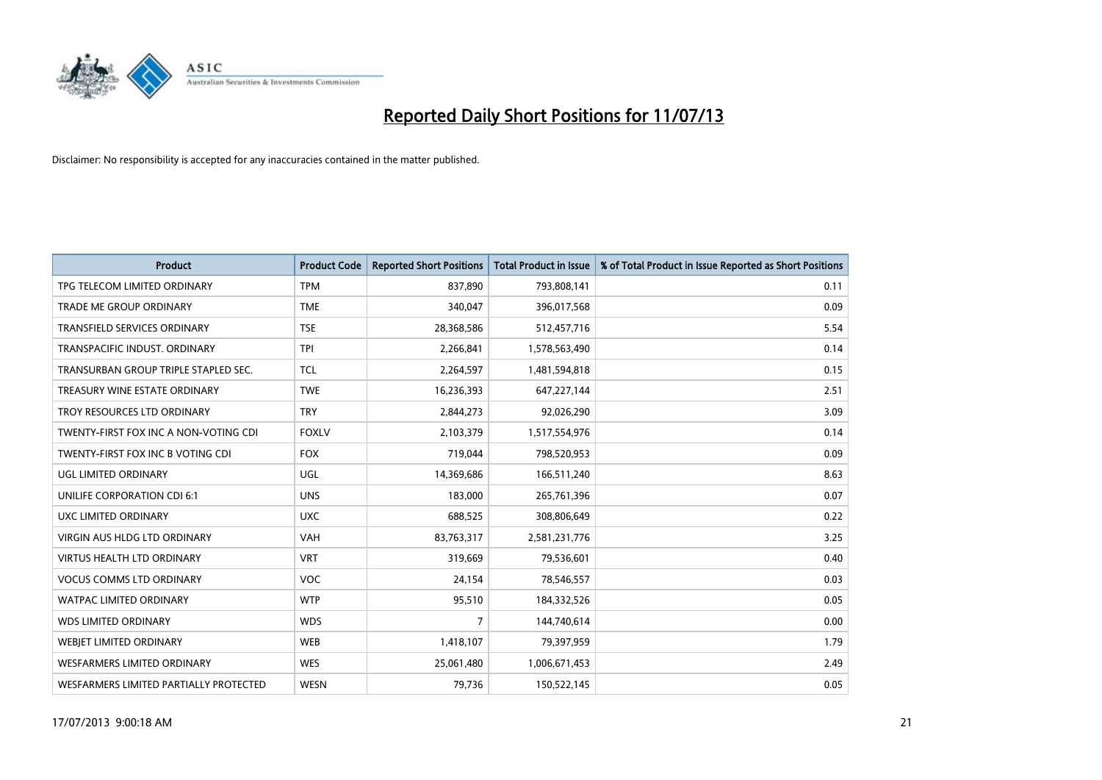

| <b>Product</b>                         | <b>Product Code</b> | <b>Reported Short Positions</b> | <b>Total Product in Issue</b> | % of Total Product in Issue Reported as Short Positions |
|----------------------------------------|---------------------|---------------------------------|-------------------------------|---------------------------------------------------------|
| TPG TELECOM LIMITED ORDINARY           | <b>TPM</b>          | 837,890                         | 793,808,141                   | 0.11                                                    |
| TRADE ME GROUP ORDINARY                | <b>TME</b>          | 340,047                         | 396,017,568                   | 0.09                                                    |
| <b>TRANSFIELD SERVICES ORDINARY</b>    | <b>TSE</b>          | 28,368,586                      | 512,457,716                   | 5.54                                                    |
| TRANSPACIFIC INDUST. ORDINARY          | <b>TPI</b>          | 2,266,841                       | 1,578,563,490                 | 0.14                                                    |
| TRANSURBAN GROUP TRIPLE STAPLED SEC.   | <b>TCL</b>          | 2,264,597                       | 1,481,594,818                 | 0.15                                                    |
| TREASURY WINE ESTATE ORDINARY          | <b>TWE</b>          | 16,236,393                      | 647,227,144                   | 2.51                                                    |
| TROY RESOURCES LTD ORDINARY            | <b>TRY</b>          | 2,844,273                       | 92,026,290                    | 3.09                                                    |
| TWENTY-FIRST FOX INC A NON-VOTING CDI  | <b>FOXLV</b>        | 2,103,379                       | 1,517,554,976                 | 0.14                                                    |
| TWENTY-FIRST FOX INC B VOTING CDI      | <b>FOX</b>          | 719,044                         | 798,520,953                   | 0.09                                                    |
| UGL LIMITED ORDINARY                   | UGL                 | 14,369,686                      | 166,511,240                   | 8.63                                                    |
| UNILIFE CORPORATION CDI 6:1            | <b>UNS</b>          | 183,000                         | 265,761,396                   | 0.07                                                    |
| UXC LIMITED ORDINARY                   | <b>UXC</b>          | 688,525                         | 308,806,649                   | 0.22                                                    |
| VIRGIN AUS HLDG LTD ORDINARY           | <b>VAH</b>          | 83,763,317                      | 2,581,231,776                 | 3.25                                                    |
| <b>VIRTUS HEALTH LTD ORDINARY</b>      | <b>VRT</b>          | 319,669                         | 79,536,601                    | 0.40                                                    |
| <b>VOCUS COMMS LTD ORDINARY</b>        | VOC                 | 24,154                          | 78,546,557                    | 0.03                                                    |
| WATPAC LIMITED ORDINARY                | <b>WTP</b>          | 95,510                          | 184,332,526                   | 0.05                                                    |
| <b>WDS LIMITED ORDINARY</b>            | <b>WDS</b>          | $\overline{7}$                  | 144,740,614                   | 0.00                                                    |
| WEBJET LIMITED ORDINARY                | <b>WEB</b>          | 1,418,107                       | 79,397,959                    | 1.79                                                    |
| <b>WESFARMERS LIMITED ORDINARY</b>     | <b>WES</b>          | 25,061,480                      | 1,006,671,453                 | 2.49                                                    |
| WESFARMERS LIMITED PARTIALLY PROTECTED | <b>WESN</b>         | 79,736                          | 150,522,145                   | 0.05                                                    |